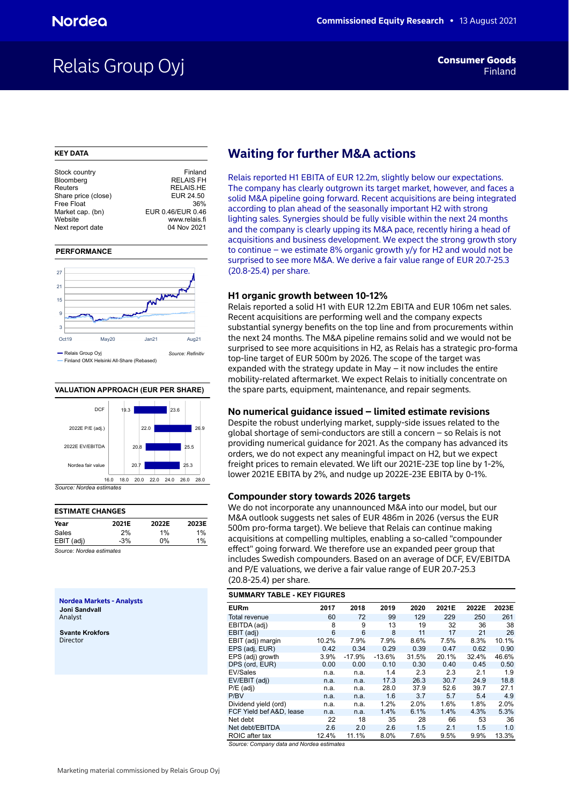## Relais Group Oyj

### **KEY DATA**

| Stock country       | Finland           |
|---------------------|-------------------|
| Bloomberg           | <b>RELAIS FH</b>  |
| Reuters             | <b>RELAIS.HE</b>  |
| Share price (close) | EUR 24.50         |
| Free Float          | 36%               |
| Market cap. (bn)    | EUR 0.46/EUR 0.46 |
| Website             | www.relais.fi     |
| Next report date    | 04 Nov 2021       |
|                     |                   |

### **PERFORMANCE**



### **VALUATION APPROACH (EUR PER SHARE)**



## **ESTIMATE CHANGES Year 2021E 2022E 2023E** Sales 2% 1% 1% EBIT (adj) -3% 0% 1%

*Source: Nordea estimates*

**Nordea Markets - Analysts Joni Sandvall** Analyst

**Svante Krokfors** Director

## **Waiting for further M&A actions**

Relais reported H1 EBITA of EUR 12.2m, slightly below our expectations. The company has clearly outgrown its target market, however, and faces a solid M&A pipeline going forward. Recent acquisitions are being integrated according to plan ahead of the seasonally important H2 with strong lighting sales. Synergies should be fully visible within the next 24 months and the company is clearly upping its M&A pace, recently hiring a head of acquisitions and business development. We expect the strong growth story to continue – we estimate 8% organic growth y/y for H2 and would not be surprised to see more M&A. We derive a fair value range of EUR 20.7-25.3 (20.8-25.4) per share.

### **H1 organic growth between 10-12%**

Relais reported a solid H1 with EUR 12.2m EBITA and EUR 106m net sales. Recent acquisitions are performing well and the company expects substantial synergy benefits on the top line and from procurements within the next 24 months. The M&A pipeline remains solid and we would not be surprised to see more acquisitions in H2, as Relais has a strategic pro-forma top-line target of EUR 500m by 2026. The scope of the target was expanded with the strategy update in May  $-$  it now includes the entire mobility-related aftermarket. We expect Relais to initially concentrate on the spare parts, equipment, maintenance, and repair segments.

### **No numerical guidance issued – limited estimate revisions**

Despite the robust underlying market, supply-side issues related to the global shortage of semi-conductors are still a concern – so Relais is not providing numerical guidance for 2021. As the company has advanced its orders, we do not expect any meaningful impact on H2, but we expect freight prices to remain elevated. We lift our 2021E-23E top line by 1-2%, lower 2021E EBITA by 2%, and nudge up 2022E-23E EBITA by 0-1%.

### **Compounder story towards 2026 targets**

We do not incorporate any unannounced M&A into our model, but our M&A outlook suggests net sales of EUR 486m in 2026 (versus the EUR 500m pro-forma target). We believe that Relais can continue making acquisitions at compelling multiples, enabling a so-called "compounder effect" going forward. We therefore use an expanded peer group that includes Swedish compounders. Based on an average of DCF, EV/EBITDA and P/E valuations, we derive a fair value range of EUR 20.7-25.3 (20.8-25.4) per share.

### **SUMMARY TABLE - KEY FIGURES**

| <b>EURm</b>              | 2017  | 2018     | 2019     | 2020  | 2021E | 2022E | 2023E |
|--------------------------|-------|----------|----------|-------|-------|-------|-------|
| Total revenue            | 60    | 72       | 99       | 129   | 229   | 250   | 261   |
| EBITDA (adj)             | 8     | 9        | 13       | 19    | 32    | 36    | 38    |
| EBIT (adj)               | 6     | 6        | 8        | 11    | 17    | 21    | 26    |
| EBIT (adj) margin        | 10.2% | 7.9%     | 7.9%     | 8.6%  | 7.5%  | 8.3%  | 10.1% |
| EPS (adj, EUR)           | 0.42  | 0.34     | 0.29     | 0.39  | 0.47  | 0.62  | 0.90  |
| EPS (adj) growth         | 3.9%  | $-17.9%$ | $-13.6%$ | 31.5% | 20.1% | 32.4% | 46.6% |
| DPS (ord, EUR)           | 0.00  | 0.00     | 0.10     | 0.30  | 0.40  | 0.45  | 0.50  |
| EV/Sales                 | n.a.  | n.a.     | 1.4      | 2.3   | 2.3   | 2.1   | 1.9   |
| EV/EBIT (adj)            | n.a.  | n.a.     | 17.3     | 26.3  | 30.7  | 24.9  | 18.8  |
| $P/E$ (adj)              | n.a.  | n.a.     | 28.0     | 37.9  | 52.6  | 39.7  | 27.1  |
| P/BV                     | n.a.  | n.a.     | 1.6      | 3.7   | 5.7   | 5.4   | 4.9   |
| Dividend yield (ord)     | n.a.  | n.a.     | 1.2%     | 2.0%  | 1.6%  | 1.8%  | 2.0%  |
| FCF Yield bef A&D, lease | n.a.  | n.a.     | 1.4%     | 6.1%  | 1.4%  | 4.3%  | 5.3%  |
| Net debt                 | 22    | 18       | 35       | 28    | 66    | 53    | 36    |
| Net debt/EBITDA          | 2.6   | 2.0      | 2.6      | 1.5   | 2.1   | 1.5   | 1.0   |
| ROIC after tax           | 12.4% | 11.1%    | 8.0%     | 7.6%  | 9.5%  | 9.9%  | 13.3% |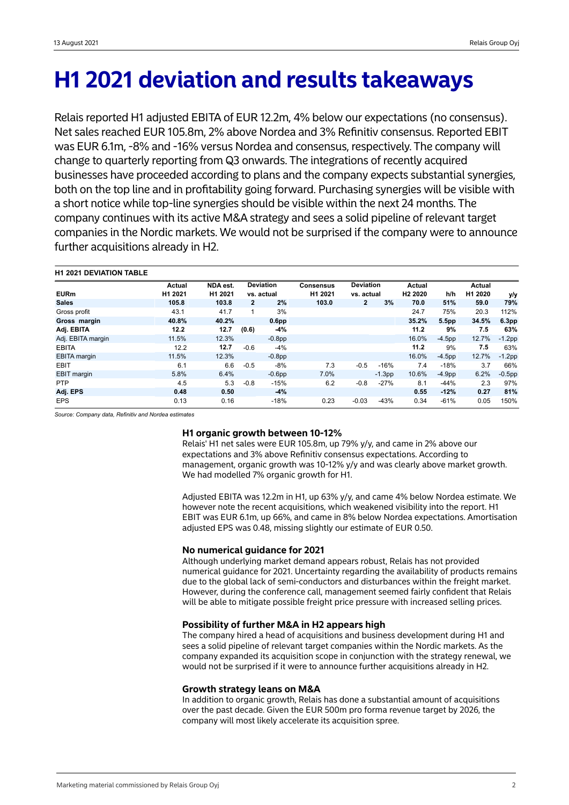# **H1 2021 deviation and results takeaways**

Relais reported H1 adjusted EBITA of EUR 12.2m, 4% below our expectations (no consensus). Net sales reached EUR 105.8m, 2% above Nordea and 3% Refinitiv consensus. Reported EBIT was EUR 6.1m, -8% and -16% versus Nordea and consensus, respectively. The company will change to quarterly reporting from Q3 onwards. The integrations of recently acquired businesses have proceeded according to plans and the company expects substantial synergies, both on the top line and in profitability going forward. Purchasing synergies will be visible with a short notice while top-line synergies should be visible within the next 24 months. The company continues with its active M&A strategy and sees a solid pipeline of relevant target companies in the Nordic markets. We would not be surprised if the company were to announce further acquisitions already in H2.

| <b>H1 2021 DEVIATION TABLE</b> |         |          |              |                   |                     |                  |          |                     |                   |         |           |
|--------------------------------|---------|----------|--------------|-------------------|---------------------|------------------|----------|---------------------|-------------------|---------|-----------|
|                                | Actual  | NDA est. |              | <b>Deviation</b>  | <b>Consensus</b>    | <b>Deviation</b> |          | Actual              |                   | Actual  |           |
| <b>EURm</b>                    | H1 2021 | H1 2021  |              | vs. actual        | H <sub>1</sub> 2021 | vs. actual       |          | H <sub>2</sub> 2020 | h/h               | H1 2020 | y/y       |
| <b>Sales</b>                   | 105.8   | 103.8    | $\mathbf{2}$ | 2%                | 103.0               | 2                | 3%       | 70.0                | 51%               | 59.0    | 79%       |
| Gross profit                   | 43.1    | 41.7     |              | 3%                |                     |                  |          | 24.7                | 75%               | 20.3    | 112%      |
| Gross margin                   | 40.8%   | 40.2%    |              | 0.6 <sub>pp</sub> |                     |                  |          | 35.2%               | 5.5 <sub>pp</sub> | 34.5%   | 6.3pp     |
| Adj. EBITA                     | 12.2    | 12.7     | (0.6)        | -4%               |                     |                  |          | 11.2                | 9%                | 7.5     | 63%       |
| Adj. EBITA margin              | 11.5%   | 12.3%    |              | $-0.8pp$          |                     |                  |          | 16.0%               | $-4.5pp$          | 12.7%   | $-1.2$ pp |
| <b>EBITA</b>                   | 12.2    | 12.7     | $-0.6$       | $-4%$             |                     |                  |          | 11.2                | 9%                | 7.5     | 63%       |
| <b>EBITA</b> margin            | 11.5%   | 12.3%    |              | $-0.8$ pp         |                     |                  |          | 16.0%               | $-4.5pp$          | 12.7%   | $-1.2$ pp |
| <b>EBIT</b>                    | 6.1     | 6.6      | $-0.5$       | $-8%$             | 7.3                 | $-0.5$           | $-16%$   | 7.4                 | $-18%$            | 3.7     | 66%       |
| <b>EBIT</b> margin             | 5.8%    | 6.4%     |              | $-0.6pp$          | 7.0%                |                  | $-1.3pp$ | 10.6%               | $-4.9pp$          | 6.2%    | $-0.5$ pp |
| <b>PTP</b>                     | 4.5     | 5.3      | $-0.8$       | $-15%$            | 6.2                 | $-0.8$           | $-27%$   | 8.1                 | $-44%$            | 2.3     | 97%       |
| Adj. EPS                       | 0.48    | 0.50     |              | $-4%$             |                     |                  |          | 0.55                | $-12%$            | 0.27    | 81%       |
| <b>EPS</b>                     | 0.13    | 0.16     |              | $-18%$            | 0.23                | $-0.03$          | $-43%$   | 0.34                | $-61%$            | 0.05    | 150%      |

*Source: Company data, Refinitiv and Nordea estimates*

## **H1 organic growth between 10-12%**

Relais' H1 net sales were EUR 105.8m, up 79% y/y, and came in 2% above our expectations and 3% above Refinitiv consensus expectations. According to management, organic growth was 10-12% y/y and was clearly above market growth. We had modelled 7% organic growth for H1.

Adjusted EBITA was 12.2m in H1, up 63% y/y, and came 4% below Nordea estimate. We however note the recent acquisitions, which weakened visibility into the report. H1 EBIT was EUR 6.1m, up 66%, and came in 8% below Nordea expectations. Amortisation adjusted EPS was 0.48, missing slightly our estimate of EUR 0.50.

## **No numerical guidance for 2021**

Although underlying market demand appears robust, Relais has not provided numerical guidance for 2021. Uncertainty regarding the availability of products remains due to the global lack of semi-conductors and disturbances within the freight market. However, during the conference call, management seemed fairly confident that Relais will be able to mitigate possible freight price pressure with increased selling prices.

## **Possibility of further M&A in H2 appears high**

The company hired a head of acquisitions and business development during H1 and sees a solid pipeline of relevant target companies within the Nordic markets. As the company expanded its acquisition scope in conjunction with the strategy renewal, we would not be surprised if it were to announce further acquisitions already in H2.

## **Growth strategy leans on M&A**

In addition to organic growth, Relais has done a substantial amount of acquisitions over the past decade. Given the EUR 500m pro forma revenue target by 2026, the company will most likely accelerate its acquisition spree.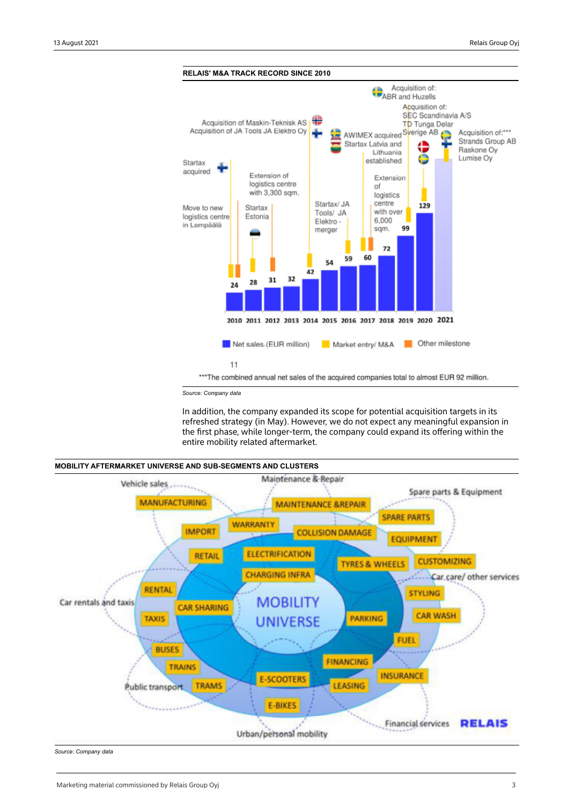

*Source: Company data*

In addition, the company expanded its scope for potential acquisition targets in its refreshed strategy (in May). However, we do not expect any meaningful expansion in the first phase, while longer-term, the company could expand its offering within the entire mobility related aftermarket.



*Source: Company data*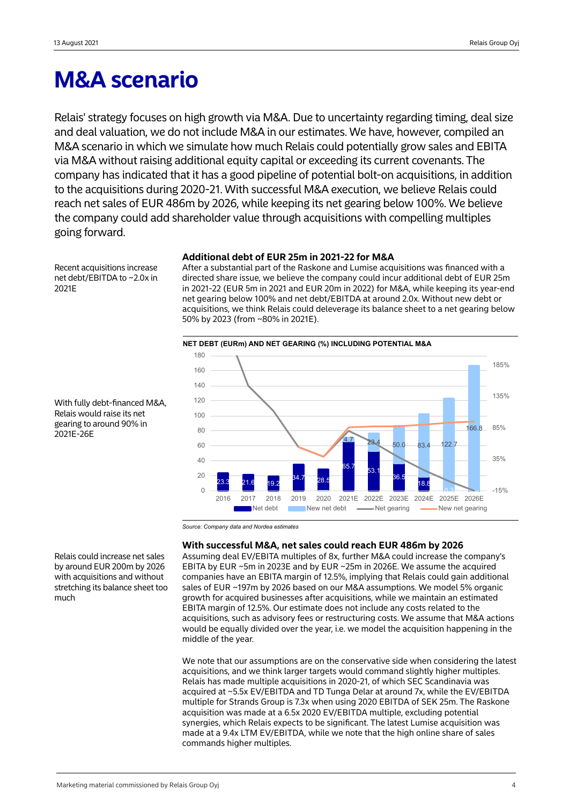## **M&A scenario**

Relais' strategy focuses on high growth via M&A. Due to uncertainty regarding timing, deal size and deal valuation, we do not include M&A in our estimates. We have, however, compiled an M&A scenario in which we simulate how much Relais could potentially grow sales and EBITA via M&A without raising additional equity capital or exceeding its current covenants. The company has indicated that it has a good pipeline of potential bolt-on acquisitions, in addition to the acquisitions during 2020-21. With successful M&A execution, we believe Relais could reach net sales of EUR 486m by 2026, while keeping its net gearing below 100%. We believe the company could add shareholder value through acquisitions with compelling multiples going forward.

Recent acquisitions increase net debt/EBITDA to ~2.0x in 2021E

### **Additional debt of EUR 25m in 2021-22 for M&A**

After a substantial part of the Raskone and Lumise acquisitions was financed with a directed share issue, we believe the company could incur additional debt of EUR 25m in 2021-22 (EUR 5m in 2021 and EUR 20m in 2022) for M&A, while keeping its year-end net gearing below 100% and net debt/EBITDA at around 2.0x. Without new debt or acquisitions, we think Relais could deleverage its balance sheet to a net gearing below 50% by 2023 (from ~80% in 2021E).



With fully debt-financed M&A, Relais would raise its net gearing to around 90% in 2021E-26E

*Source: Company data and Nordea estimates*

## **With successful M&A, net sales could reach EUR 486m by 2026**

Assuming deal EV/EBITA multiples of 8x, further M&A could increase the company's EBITA by EUR ~5m in 2023E and by EUR ~25m in 2026E. We assume the acquired companies have an EBITA margin of 12.5%, implying that Relais could gain additional sales of EUR ~197m by 2026 based on our M&A assumptions. We model 5% organic growth for acquired businesses after acquisitions, while we maintain an estimated EBITA margin of 12.5%. Our estimate does not include any costs related to the acquisitions, such as advisory fees or restructuring costs. We assume that M&A actions would be equally divided over the year, i.e. we model the acquisition happening in the middle of the year.

We note that our assumptions are on the conservative side when considering the latest acquisitions, and we think larger targets would command slightly higher multiples. Relais has made multiple acquisitions in 2020-21, of which SEC Scandinavia was acquired at ~5.5x EV/EBITDA and TD Tunga Delar at around 7x, while the EV/EBITDA multiple for Strands Group is 7.3x when using 2020 EBITDA of SEK 25m. The Raskone acquisition was made at a 6.5x 2020 EV/EBITDA multiple, excluding potential synergies, which Relais expects to be significant. The latest Lumise acquisition was made at a 9.4x LTM EV/EBITDA, while we note that the high online share of sales commands higher multiples.

Relais could increase net sales by around EUR 200m by 2026 with acquisitions and without stretching its balance sheet too much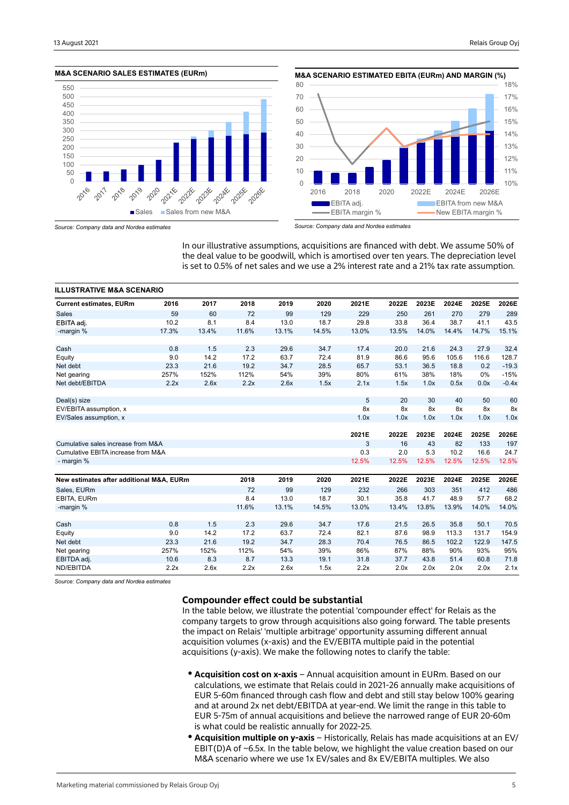



*Source: Company data and Nordea estimates*

*Source: Company data and Nordea estimates*

In our illustrative assumptions, acquisitions are financed with debt. We assume 50% of the deal value to be goodwill, which is amortised over ten years. The depreciation level is set to 0.5% of net sales and we use a 2% interest rate and a 21% tax rate assumption.

| <b>ILLUSTRATIVE M&amp;A SCENARIO</b>     |       |       |       |       |       |       |       |       |       |       |         |
|------------------------------------------|-------|-------|-------|-------|-------|-------|-------|-------|-------|-------|---------|
| <b>Current estimates, EURm</b>           | 2016  | 2017  | 2018  | 2019  | 2020  | 2021E | 2022E | 2023E | 2024E | 2025E | 2026E   |
| <b>Sales</b>                             | 59    | 60    | 72    | 99    | 129   | 229   | 250   | 261   | 270   | 279   | 289     |
| EBITA adj.                               | 10.2  | 8.1   | 8.4   | 13.0  | 18.7  | 29.8  | 33.8  | 36.4  | 38.7  | 41.1  | 43.5    |
| -margin %                                | 17.3% | 13.4% | 11.6% | 13.1% | 14.5% | 13.0% | 13.5% | 14.0% | 14.4% | 14.7% | 15.1%   |
| Cash                                     | 0.8   | 1.5   | 2.3   | 29.6  | 34.7  | 17.4  | 20.0  | 21.6  | 24.3  | 27.9  | 32.4    |
| Equity                                   | 9.0   | 14.2  | 17.2  | 63.7  | 72.4  | 81.9  | 86.6  | 95.6  | 105.6 | 116.6 | 128.7   |
| Net debt                                 | 23.3  | 21.6  | 19.2  | 34.7  | 28.5  | 65.7  | 53.1  | 36.5  | 18.8  | 0.2   | $-19.3$ |
| Net gearing                              | 257%  | 152%  | 112%  | 54%   | 39%   | 80%   | 61%   | 38%   | 18%   | 0%    | $-15%$  |
| Net debt/EBITDA                          | 2.2x  | 2.6x  | 2.2x  | 2.6x  | 1.5x  | 2.1x  | 1.5x  | 1.0x  | 0.5x  | 0.0x  | $-0.4x$ |
| Deal(s) size                             |       |       |       |       |       | 5     | 20    | 30    | 40    | 50    | 60      |
| EV/EBITA assumption, x                   |       |       |       |       |       | 8x    | 8x    | 8x    | 8x    | 8x    | 8x      |
| EV/Sales assumption, x                   |       |       |       |       |       | 1.0x  | 1.0x  | 1.0x  | 1.0x  | 1.0x  | 1.0x    |
|                                          |       |       |       |       |       | 2021E | 2022E | 2023E | 2024E | 2025E | 2026E   |
| Cumulative sales increase from M&A       |       |       |       |       |       | 3     | 16    | 43    | 82    | 133   | 197     |
| Cumulative EBITA increase from M&A       |       |       |       |       |       | 0.3   | 2.0   | 5.3   | 10.2  | 16.6  | 24.7    |
| - margin %                               |       |       |       |       |       | 12.5% | 12.5% | 12.5% | 12.5% | 12.5% | 12.5%   |
| New estimates after additional M&A, EURm |       |       | 2018  | 2019  | 2020  | 2021E | 2022E | 2023E | 2024E | 2025E | 2026E   |
| Sales, EURm                              |       |       | 72    | 99    | 129   | 232   | 266   | 303   | 351   | 412   | 486     |
| EBITA, EURm                              |       |       | 8.4   | 13.0  | 18.7  | 30.1  | 35.8  | 41.7  | 48.9  | 57.7  | 68.2    |
| -margin %                                |       |       | 11.6% | 13.1% | 14.5% | 13.0% | 13.4% | 13.8% | 13.9% | 14.0% | 14.0%   |
| Cash                                     | 0.8   | 1.5   | 2.3   | 29.6  | 34.7  | 17.6  | 21.5  | 26.5  | 35.8  | 50.1  | 70.5    |
| Equity                                   | 9.0   | 14.2  | 17.2  | 63.7  | 72.4  | 82.1  | 87.6  | 98.9  | 113.3 | 131.7 | 154.9   |
| Net debt                                 | 23.3  | 21.6  | 19.2  | 34.7  | 28.3  | 70.4  | 76.5  | 86.5  | 102.2 | 122.9 | 147.5   |
| Net gearing                              | 257%  | 152%  | 112%  | 54%   | 39%   | 86%   | 87%   | 88%   | 90%   | 93%   | 95%     |
|                                          |       |       |       |       |       |       |       |       |       |       |         |
| EBITDA adj.                              | 10.6  | 8.3   | 8.7   | 13.3  | 19.1  | 31.8  | 37.7  | 43.8  | 51.4  | 60.8  | 71.8    |

*Source: Company data and Nordea estimates*

## **Compounder effect could be substantial**

In the table below, we illustrate the potential 'compounder effect' for Relais as the company targets to grow through acquisitions also going forward. The table presents the impact on Relais' 'multiple arbitrage' opportunity assuming different annual acquisition volumes (x-axis) and the EV/EBITA multiple paid in the potential acquisitions (y-axis). We make the following notes to clarify the table:

- **Acquisition cost on x-axis** Annual acquisition amount in EURm. Based on our calculations, we estimate that Relais could in 2021-26 annually make acquisitions of EUR 5-60m financed through cash flow and debt and still stay below 100% gearing and at around 2x net debt/EBITDA at year-end. We limit the range in this table to EUR 5-75m of annual acquisitions and believe the narrowed range of EUR 20-60m is what could be realistic annually for 2022-25.
- **Acquisition multiple on y-axis** Historically, Relais has made acquisitions at an EV/ EBIT(D)A of  $\sim$  6.5x. In the table below, we highlight the value creation based on our M&A scenario where we use 1x EV/sales and 8x EV/EBITA multiples. We also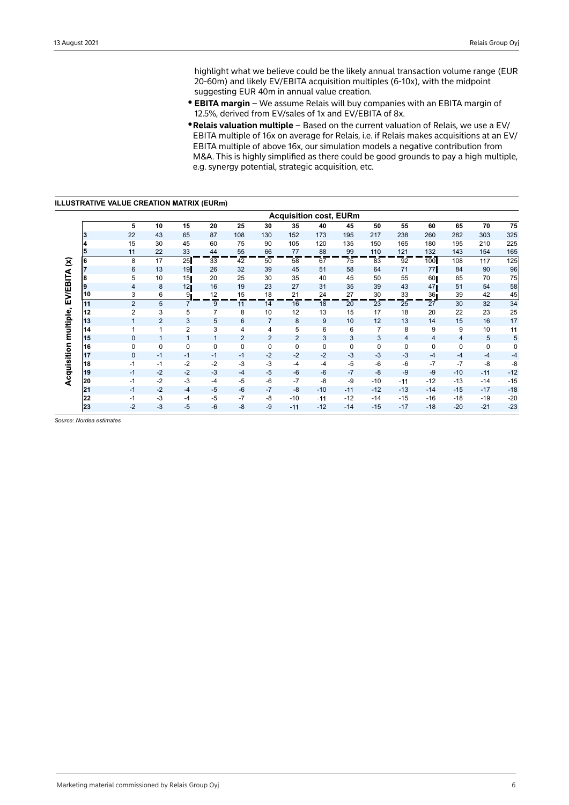highlight what we believe could be the likely annual transaction volume range (EUR 20-60m) and likely EV/EBITA acquisition multiples (6-10x), with the midpoint suggesting EUR 40m in annual value creation.

- **EBITA margin** We assume Relais will buy companies with an EBITA margin of 12.5%, derived from EV/sales of 1x and EV/EBITA of 8x.
- y **Relais valuation multiple**  Based on the current valuation of Relais, we use a EV/ EBITA multiple of 16x on average for Relais, i.e. if Relais makes acquisitions at an EV/ EBITA multiple of above 16x, our simulation models a negative contribution from M&A. This is highly simplified as there could be good grounds to pay a high multiple, e.g. synergy potential, strategic acquisition, etc.

**ILLUSTRATIVE VALUE CREATION MATRIX (EURm)**

|                        |    |                |                |                |      |                |                |                |       | <b>Acquisition cost, EURm</b> |       |       |                 |       |       |       |
|------------------------|----|----------------|----------------|----------------|------|----------------|----------------|----------------|-------|-------------------------------|-------|-------|-----------------|-------|-------|-------|
|                        |    | 5              | 10             | 15             | 20   | 25             | 30             | 35             | 40    | 45                            | 50    | 55    | 60              | 65    | 70    | 75    |
|                        | 13 | 22             | 43             | 65             | 87   | 108            | 130            | 152            | 173   | 195                           | 217   | 238   | 260             | 282   | 303   | 325   |
|                        | 4  | 15             | 30             | 45             | 60   | 75             | 90             | 105            | 120   | 135                           | 150   | 165   | 180             | 195   | 210   | 225   |
|                        | 5  | 11             | 22             | 33             | 44   | 55             | 66             | 77             | 88    | 99                            | 110   | 121   | 132             | 143   | 154   | 165   |
| $\widehat{\mathbf{z}}$ | 6  | 8              | 17             | 25             | 33   | 42             | 50             | 58             | 67    | 75                            | 83    | 92    | 100             | 108   | 117   | 125   |
|                        |    | 6              | 13             | 19             | 26   | 32             | 39             | 45             | 51    | 58                            | 64    | 71    | 77              | 84    | 90    | 96    |
|                        | 8  | 5              | 10             | 15             | 20   | 25             | 30             | 35             | 40    | 45                            | 50    | 55    | 60              | 65    | 70    | 75    |
|                        | 19 | $\overline{4}$ | 8              | 12             | 16   | 19             | 23             | 27             | 31    | 35                            | 39    | 43    | 47              | 51    | 54    | 58    |
| <b>EV/EBITA</b>        | 10 | 3              | 6              | 9.             | 12   | 15             | 18             | 21             | 24    | 27                            | 30    | 33    | 36 <sub>1</sub> | 39    | 42    | 45    |
|                        | 11 | $\overline{2}$ | 5              |                | 9    | 11             | 14             | 16             | 18    | 20                            | 23    | 25    | 27              | 30    | 32    | 34    |
| multiple,              | 12 | $\overline{2}$ | 3              | 5              | 7    | 8              | 10             | 12             | 13    | 15                            | 17    | 18    | 20              | 22    | 23    | 25    |
|                        | 13 | $\mathbf{1}$   | $\overline{2}$ | 3              | 5    | 6              | $\overline{7}$ | 8              | 9     | 10                            | 12    | 13    | 14              | 15    | 16    | 17    |
|                        | 14 | 1              | 1              | $\overline{2}$ | 3    | 4              | 4              | 5              | 6     | 6                             | 7     | 8     | 9               | 9     | 10    | 11    |
|                        | 15 | $\mathbf{0}$   | $\mathbf{1}$   | $\mathbf{1}$   | 1    | $\overline{2}$ | $\overline{2}$ | $\overline{2}$ | 3     | 3                             | 3     | 4     | 4               | 4     | 5     | 5     |
|                        | 16 | 0              | $\mathbf 0$    | 0              | 0    | 0              | $\pmb{0}$      | 0              | 0     | 0                             | 0     | 0     | 0               | 0     | 0     | 0     |
| Acquisition            | 17 | $\mathbf{0}$   | $-1$           | $-1$           | $-1$ | $-1$           | $-2$           | $-2$           | $-2$  | $-3$                          | $-3$  | $-3$  | $-4$            | $-4$  | $-4$  | $-4$  |
|                        | 18 | $-1$           | $-1$           | $-2$           | $-2$ | $-3$           | $-3$           | $-4$           | $-4$  | $-5$                          | $-6$  | $-6$  | $-7$            | $-7$  | $-8$  | $-8$  |
|                        | 19 | $-1$           | $-2$           | $-2$           | $-3$ | $-4$           | $-5$           | -6             | $-6$  | $-7$                          | -8    | $-9$  | -9              | $-10$ | $-11$ | $-12$ |
|                        | 20 | $-1$           | $-2$           | $-3$           | $-4$ | $-5$           | -6             | $-7$           | $-8$  | $-9$                          | $-10$ | $-11$ | $-12$           | $-13$ | $-14$ | $-15$ |
|                        | 21 | $-1$           | $-2$           | $-4$           | $-5$ | $-6$           | $-7$           | $-8$           | $-10$ | $-11$                         | $-12$ | $-13$ | $-14$           | $-15$ | $-17$ | $-18$ |
|                        | 22 | $-1$           | $-3$           | $-4$           | $-5$ | $-7$           | -8             | $-10$          | $-11$ | $-12$                         | $-14$ | $-15$ | $-16$           | $-18$ | $-19$ | $-20$ |
|                        | 23 | $-2$           | $-3$           | $-5$           | $-6$ | -8             | -9             | $-11$          | $-12$ | $-14$                         | $-15$ | $-17$ | $-18$           | $-20$ | $-21$ | $-23$ |

*Source: Nordea estimates*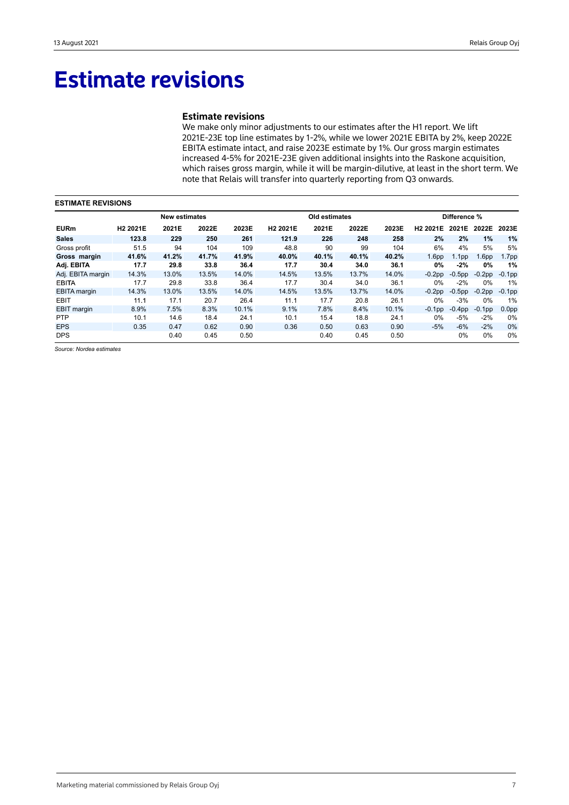## **Estimate revisions**

### **Estimate revisions**

We make only minor adjustments to our estimates after the H1 report. We lift 2021E-23E top line estimates by 1-2%, while we lower 2021E EBITA by 2%, keep 2022E EBITA estimate intact, and raise 2023E estimate by 1%. Our gross margin estimates increased 4-5% for 2021E-23E given additional insights into the Raskone acquisition, which raises gross margin, while it will be margin-dilutive, at least in the short term. We note that Relais will transfer into quarterly reporting from Q3 onwards.

| <b>ESTIMATE REVISIONS</b> |                      |                      |       |       |                      |               |       |       |                      |                   |                   |                   |  |
|---------------------------|----------------------|----------------------|-------|-------|----------------------|---------------|-------|-------|----------------------|-------------------|-------------------|-------------------|--|
|                           |                      | <b>New estimates</b> |       |       |                      | Old estimates |       |       |                      | Difference %      |                   |                   |  |
| <b>EURm</b>               | H <sub>2</sub> 2021E | 2021E                | 2022E | 2023E | H <sub>2</sub> 2021E | 2021E         | 2022E | 2023E | H <sub>2</sub> 2021E | 2021E             | 2022E             | 2023E             |  |
| <b>Sales</b>              | 123.8                | 229                  | 250   | 261   | 121.9                | 226           | 248   | 258   | 2%                   | 2%                | $1\%$             | 1%                |  |
| Gross profit              | 51.5                 | 94                   | 104   | 109   | 48.8                 | 90            | 99    | 104   | 6%                   | 4%                | 5%                | 5%                |  |
| Gross margin              | 41.6%                | 41.2%                | 41.7% | 41.9% | 40.0%                | 40.1%         | 40.1% | 40.2% | 1.6 <sub>pp</sub>    | 1.1 <sub>pp</sub> | 1.6 <sub>pp</sub> | 1.7 <sub>pp</sub> |  |
| Adj. EBITA                | 17.7                 | 29.8                 | 33.8  | 36.4  | 17.7                 | 30.4          | 34.0  | 36.1  | $0\%$                | $-2%$             | 0%                | 1%                |  |
| Adj. EBITA margin         | 14.3%                | 13.0%                | 13.5% | 14.0% | 14.5%                | 13.5%         | 13.7% | 14.0% | $-0.2$ pp            | $-0.5$ pp         | $-0.2$ pp         | $-0.1$ pp         |  |
| <b>EBITA</b>              | 17.7                 | 29.8                 | 33.8  | 36.4  | 17.7                 | 30.4          | 34.0  | 36.1  | 0%                   | $-2\%$            | $0\%$             | 1%                |  |
| <b>EBITA</b> margin       | 14.3%                | 13.0%                | 13.5% | 14.0% | 14.5%                | 13.5%         | 13.7% | 14.0% | $-0.2pp$             | $-0.5$ pp         | $-0.2$ pp         | $-0.1$ pp         |  |
| <b>EBIT</b>               | 11.1                 | 17.1                 | 20.7  | 26.4  | 11.1                 | 17.7          | 20.8  | 26.1  | $0\%$                | $-3%$             | $0\%$             | 1%                |  |
| <b>EBIT</b> margin        | 8.9%                 | 7.5%                 | 8.3%  | 10.1% | 9.1%                 | 7.8%          | 8.4%  | 10.1% | $-0.1$ pp            | $-0.4$ pp         | $-0.1$ pp         | 0.0 <sub>pp</sub> |  |
| <b>PTP</b>                | 10.1                 | 14.6                 | 18.4  | 24.1  | 10.1                 | 15.4          | 18.8  | 24.1  | $0\%$                | $-5%$             | $-2%$             | $0\%$             |  |
| <b>EPS</b>                | 0.35                 | 0.47                 | 0.62  | 0.90  | 0.36                 | 0.50          | 0.63  | 0.90  | $-5%$                | $-6%$             | $-2\%$            | 0%                |  |
| <b>DPS</b>                |                      | 0.40                 | 0.45  | 0.50  |                      | 0.40          | 0.45  | 0.50  |                      | $0\%$             | $0\%$             | $0\%$             |  |

*Source: Nordea estimates*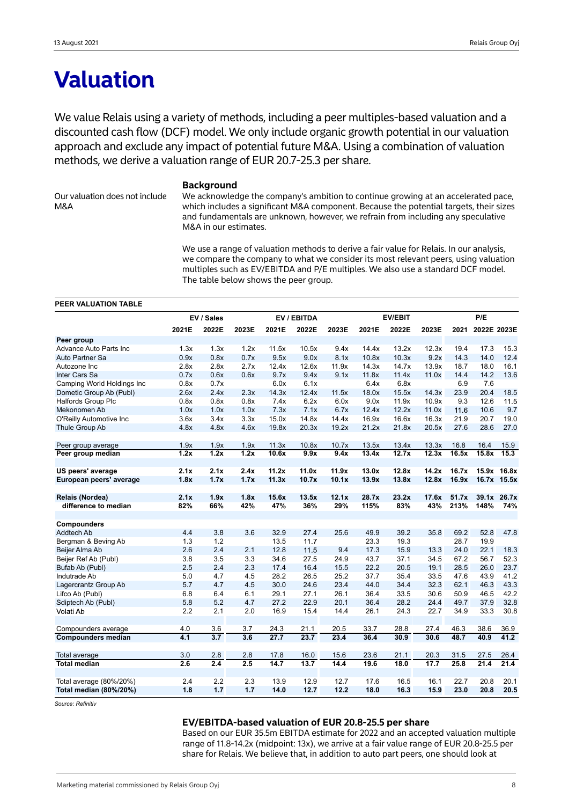## **Valuation**

We value Relais using a variety of methods, including a peer multiples-based valuation and a discounted cash flow (DCF) model. We only include organic growth potential in our valuation approach and exclude any impact of potential future M&A. Using a combination of valuation methods, we derive a valuation range of EUR 20.7-25.3 per share.

Our valuation does not include M&A

### **Background**

We acknowledge the company's ambition to continue growing at an accelerated pace, which includes a significant M&A component. Because the potential targets, their sizes and fundamentals are unknown, however, we refrain from including any speculative M&A in our estimates.

We use a range of valuation methods to derive a fair value for Relais. In our analysis, we compare the company to what we consider its most relevant peers, using valuation multiples such as EV/EBITDA and P/E multiples. We also use a standard DCF model. The table below shows the peer group.

### **PEER VALUATION TABLE**

|                                         |                   | EV / Sales |                  |       | EV / EBITDA |       |       | <b>EV/EBIT</b> |       |       | P/E         |             |
|-----------------------------------------|-------------------|------------|------------------|-------|-------------|-------|-------|----------------|-------|-------|-------------|-------------|
|                                         | 2021E             | 2022E      | 2023E            | 2021E | 2022E       | 2023E | 2021E | 2022E          | 2023E | 2021  | 2022E 2023E |             |
| Peer group                              |                   |            |                  |       |             |       |       |                |       |       |             |             |
| Advance Auto Parts Inc                  | 1.3x              | 1.3x       | 1.2x             | 11.5x | 10.5x       | 9.4x  | 14.4x | 13.2x          | 12.3x | 19.4  | 17.3        | 15.3        |
| Auto Partner Sa                         | 0.9x              | 0.8x       | 0.7x             | 9.5x  | 9.0x        | 8.1x  | 10.8x | 10.3x          | 9.2x  | 14.3  | 14.0        | 12.4        |
| Autozone Inc                            | 2.8x              | 2.8x       | 2.7x             | 12.4x | 12.6x       | 11.9x | 14.3x | 14.7x          | 13.9x | 18.7  | 18.0        | 16.1        |
| Inter Cars Sa                           | 0.7x              | 0.6x       | 0.6x             | 9.7x  | 9.4x        | 9.1x  | 11.8x | 11.4x          | 11.0x | 14.4  | 14.2        | 13.6        |
| Camping World Holdings Inc              | 0.8x              | 0.7x       |                  | 6.0x  | 6.1x        |       | 6.4x  | 6.8x           |       | 6.9   | 7.6         |             |
| Dometic Group Ab (Publ)                 | 2.6x              | 2.4x       | 2.3x             | 14.3x | 12.4x       | 11.5x | 18.0x | 15.5x          | 14.3x | 23.9  | 20.4        | 18.5        |
| <b>Halfords Group Plc</b>               | 0.8x              | 0.8x       | 0.8x             | 7.4x  | 6.2x        | 6.0x  | 9.0x  | 11.9x          | 10.9x | 9.3   | 12.6        | 11.5        |
| Mekonomen Ab                            | 1.0x              | 1.0x       | 1.0x             | 7.3x  | 7.1x        | 6.7x  | 12.4x | 12.2x          | 11.0x | 11.6  | 10.6        | 9.7         |
| O'Reilly Automotive Inc                 | 3.6x              | 3.4x       | 3.3x             | 15.0x | 14.8x       | 14.4x | 16.9x | 16.6x          | 16.3x | 21.9  | 20.7        | 19.0        |
| Thule Group Ab                          | 4.8x              | 4.8x       | 4.6x             | 19.8x | 20.3x       | 19.2x | 21.2x | 21.8x          | 20.5x | 27.6  | 28.6        | 27.0        |
| Peer group average                      | 1.9x              | 1.9x       | 1.9x             | 11.3x | 10.8x       | 10.7x | 13.5x | 13.4x          | 13.3x | 16.8  | 16.4        | 15.9        |
| Peer group median                       | $\overline{1.2x}$ | 1.2x       | 1.2x             | 10.6x | 9.9x        | 9.4x  | 13.4x | 12.7x          | 12.3x | 16.5x | 15.8x       | 15.3        |
| US peers' average                       | 2.1x              | 2.1x       | 2.4x             | 11.2x | 11.0x       | 11.9x | 13.0x | 12.8x          | 14.2x | 16.7x |             | 15.9x 16.8x |
| European peers' average                 | 1.8x              | 1.7x       | 1.7x             | 11.3x | 10.7x       | 10.1x | 13.9x | 13.8x          | 12.8x | 16.9x |             | 16.7x 15.5x |
|                                         | 2.1x              | 1.9x       | 1.8x             | 15.6x | 13.5x       | 12.1x | 28.7x | 23.2x          | 17.6x | 51.7x |             | 39.1x 26.7x |
| Relais (Nordea)<br>difference to median | 82%               | 66%        | 42%              | 47%   | 36%         | 29%   | 115%  | 83%            | 43%   | 213%  | 148%        | 74%         |
|                                         |                   |            |                  |       |             |       |       |                |       |       |             |             |
| Compounders                             |                   |            |                  |       |             |       |       |                |       |       |             |             |
| <b>Addtech Ab</b>                       | 4.4               | 3.8        | 3.6              | 32.9  | 27.4        | 25.6  | 49.9  | 39.2           | 35.8  | 69.2  | 52.8        | 47.8        |
| Bergman & Beving Ab                     | 1.3               | 1.2        |                  | 13.5  | 11.7        |       | 23.3  | 19.3           |       | 28.7  | 19.9        |             |
| Beijer Alma Ab                          | 2.6               | 2.4        | 2.1              | 12.8  | 11.5        | 9.4   | 17.3  | 15.9           | 13.3  | 24.0  | 22.1        | 18.3        |
| Beijer Ref Ab (Publ)                    | 3.8               | 3.5        | 3.3              | 34.6  | 27.5        | 24.9  | 43.7  | 37.1           | 34.5  | 67.2  | 56.7        | 52.3        |
| Bufab Ab (Publ)                         | 2.5               | 2.4        | 2.3              | 17.4  | 16.4        | 15.5  | 22.2  | 20.5           | 19.1  | 28.5  | 26.0        | 23.7        |
| Indutrade Ab                            | 5.0               | 4.7        | 4.5              | 28.2  | 26.5        | 25.2  | 37.7  | 35.4           | 33.5  | 47.6  | 43.9        | 41.2        |
| Lagercrantz Group Ab                    | 5.7               | 4.7        | 4.5              | 30.0  | 24.6        | 23.4  | 44.0  | 34.4           | 32.3  | 62.1  | 46.3        | 43.3        |
| Lifco Ab (Publ)                         | 6.8               | 6.4        | 6.1              | 29.1  | 27.1        | 26.1  | 36.4  | 33.5           | 30.6  | 50.9  | 46.5        | 42.2        |
| Sdiptech Ab (Publ)                      | 5.8               | 5.2        | 4.7              | 27.2  | 22.9        | 20.1  | 36.4  | 28.2           | 24.4  | 49.7  | 37.9        | 32.8        |
| Volati Ab                               | 2.2               | 2.1        | 2.0              | 16.9  | 15.4        | 14.4  | 26.1  | 24.3           | 22.7  | 34.9  | 33.3        | 30.8        |
| Compounders average                     | 4.0               | 3.6        | 3.7              | 24.3  | 21.1        | 20.5  | 33.7  | 28.8           | 27.4  | 46.3  | 38.6        | 36.9        |
| <b>Compounders median</b>               | 4.1               | 3.7        | $\overline{3.6}$ | 27.7  | 23.7        | 23.4  | 36.4  | 30.9           | 30.6  | 48.7  | 40.9        | 41.2        |
|                                         |                   |            |                  |       |             |       |       |                |       |       |             |             |
| Total average                           | 3.0               | 2.8        | 2.8              | 17.8  | 16.0        | 15.6  | 23.6  | 21.1           | 20.3  | 31.5  | 27.5        | 26.4        |
| <b>Total median</b>                     | 2.6               | 2.4        | 2.5              | 14.7  | 13.7        | 14.4  | 19.6  | 18.0           | 17.7  | 25.8  | 21.4        | 21.4        |
| Total average (80%/20%)                 | 2.4               | 2.2        | 2.3              | 13.9  | 12.9        | 12.7  | 17.6  | 16.5           | 16.1  | 22.7  | 20.8        | 20.1        |
| Total median (80%/20%)                  | 1.8               | 1.7        | 1.7              | 14.0  | 12.7        | 12.2  | 18.0  | 16.3           | 15.9  | 23.0  | 20.8        | 20.5        |

*Source: Refinitiv*

### **EV/EBITDA-based valuation of EUR 20.8-25.5 per share**

Based on our EUR 35.5m EBITDA estimate for 2022 and an accepted valuation multiple range of 11.8-14.2x (midpoint: 13x), we arrive at a fair value range of EUR 20.8-25.5 per share for Relais. We believe that, in addition to auto part peers, one should look at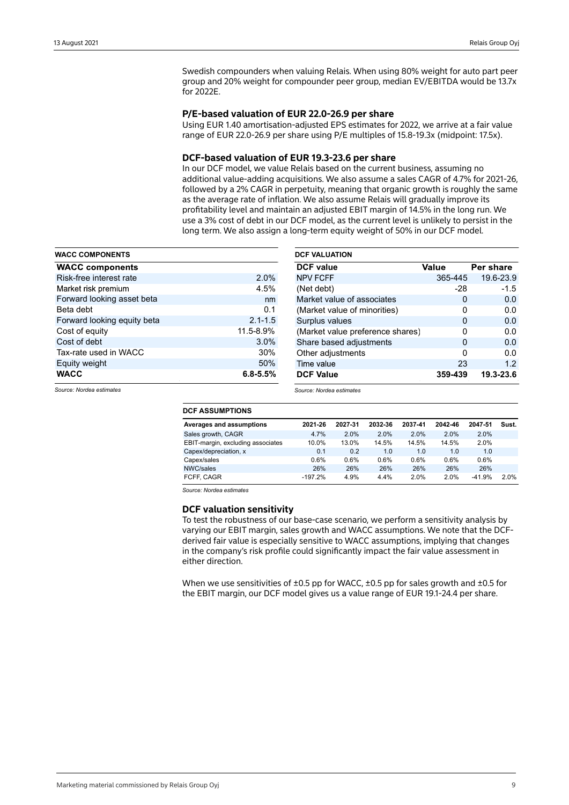Swedish compounders when valuing Relais. When using 80% weight for auto part peer group and 20% weight for compounder peer group, median EV/EBITDA would be 13.7x for 2022E.

### **P/E-based valuation of EUR 22.0-26.9 per share**

Using EUR 1.40 amortisation-adjusted EPS estimates for 2022, we arrive at a fair value range of EUR 22.0-26.9 per share using P/E multiples of 15.8-19.3x (midpoint: 17.5x).

### **DCF-based valuation of EUR 19.3-23.6 per share**

In our DCF model, we value Relais based on the current business, assuming no additional value-adding acquisitions. We also assume a sales CAGR of 4.7% for 2021-26, followed by a 2% CAGR in perpetuity, meaning that organic growth is roughly the same as the average rate of inflation. We also assume Relais will gradually improve its profitability level and maintain an adjusted EBIT margin of 14.5% in the long run. We use a 3% cost of debt in our DCF model, as the current level is unlikely to persist in the long term. We also assign a long-term equity weight of 50% in our DCF model.

| <b>WACC COMPONENTS</b>      |              |
|-----------------------------|--------------|
| <b>WACC components</b>      |              |
| Risk-free interest rate     | 2.0%         |
| Market risk premium         | 4.5%         |
| Forward looking asset beta  | nm           |
| Beta debt                   | 0.1          |
| Forward looking equity beta | $2.1 - 1.5$  |
| Cost of equity              | 11.5-8.9%    |
| Cost of debt                | 3.0%         |
| Tax-rate used in WACC       | 30%          |
| Equity weight               | 50%          |
| <b>WACC</b>                 | $6.8 - 5.5%$ |

| <b>DCF VALUATION</b>             |         |           |
|----------------------------------|---------|-----------|
| <b>DCF</b> value                 | Value   | Per share |
| <b>NPV FCFF</b>                  | 365-445 | 19.6-23.9 |
| (Net debt)                       | $-28$   | $-1.5$    |
| Market value of associates       | 0       | 0.0       |
| (Market value of minorities)     | 0       | 0.0       |
| Surplus values                   | 0       | 0.0       |
| (Market value preference shares) | 0       | 0.0       |
| Share based adjustments          | 0       | 0.0       |
| Other adjustments                | O       | 0.0       |
| Time value                       | 23      | 1.2       |
| <b>DCF Value</b>                 | 359-439 | 19.3-23.6 |

*Source: Nordea estimates*

| Source: Nordea estimates |  |
|--------------------------|--|
|--------------------------|--|

| <b>DCF ASSUMPTIONS</b>            |           |         |         |         |         |          |       |
|-----------------------------------|-----------|---------|---------|---------|---------|----------|-------|
| Averages and assumptions          | 2021-26   | 2027-31 | 2032-36 | 2037-41 | 2042-46 | 2047-51  | Sust. |
| Sales growth, CAGR                | 4.7%      | 2.0%    | 2.0%    | 2.0%    | 2.0%    | 2.0%     |       |
| EBIT-margin, excluding associates | 10.0%     | 13.0%   | 14.5%   | 14.5%   | 14.5%   | 2.0%     |       |
| Capex/depreciation, x             | 0.1       | 0.2     | 1.0     | 1.0     | 1.0     | 1.0      |       |
| Capex/sales                       | $0.6\%$   | 0.6%    | $0.6\%$ | $0.6\%$ | 0.6%    | 0.6%     |       |
| NWC/sales                         | 26%       | 26%     | 26%     | 26%     | 26%     | 26%      |       |
| FCFF. CAGR                        | $-197.2%$ | 4.9%    | 4.4%    | 2.0%    | 2.0%    | $-41.9%$ | 2.0%  |

*Source: Nordea estimates*

### **DCF valuation sensitivity**

To test the robustness of our base-case scenario, we perform a sensitivity analysis by varying our EBIT margin, sales growth and WACC assumptions. We note that the DCFderived fair value is especially sensitive to WACC assumptions, implying that changes in the company's risk profile could significantly impact the fair value assessment in either direction.

When we use sensitivities of  $\pm 0.5$  pp for WACC,  $\pm 0.5$  pp for sales growth and  $\pm 0.5$  for the EBIT margin, our DCF model gives us a value range of EUR 19.1-24.4 per share.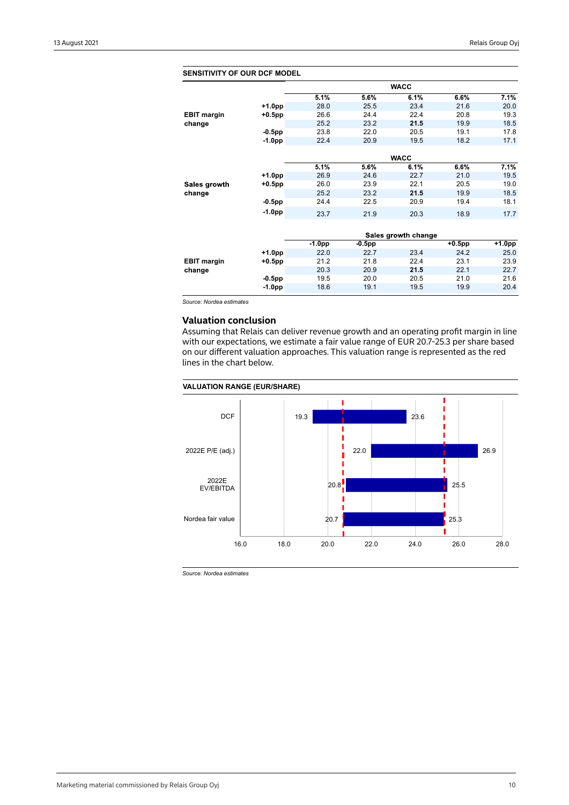| <b>SENSITIVITY OF OUR DCF MODEL</b> |           |          |           |                     |           |           |
|-------------------------------------|-----------|----------|-----------|---------------------|-----------|-----------|
|                                     |           |          |           | <b>WACC</b>         |           |           |
|                                     |           | 5.1%     | 5.6%      | 6.1%                | 6.6%      | 7.1%      |
|                                     | +1.0pp    | 28.0     | 25.5      | 23.4                | 21.6      | 20.0      |
| <b>EBIT margin</b>                  | $+0.5$ pp | 26.6     | 24.4      | 22.4                | 20.8      | 19.3      |
| change                              |           | 25.2     | 23.2      | 21.5                | 19.9      | 18.5      |
|                                     | $-0.5$ pp | 23.8     | 22.0      | 20.5                | 19.1      | 17.8      |
|                                     | $-1.0pp$  | 22.4     | 20.9      | 19.5                | 18.2      | 17.1      |
|                                     |           |          |           |                     |           |           |
|                                     |           |          |           | <b>WACC</b>         |           |           |
|                                     |           | 5.1%     | 5.6%      | 6.1%                | 6.6%      | 7.1%      |
|                                     | $+1.0$ pp | 26.9     | 24.6      | 22.7                | 21.0      | 19.5      |
| Sales growth                        | $+0.5$ pp | 26.0     | 23.9      | 22.1                | 20.5      | 19.0      |
| change                              |           | 25.2     | 23.2      | 21.5                | 19.9      | 18.5      |
|                                     | $-0.5$ pp | 24.4     | 22.5      | 20.9                | 19.4      | 18.1      |
|                                     | $-1.0pp$  | 23.7     | 21.9      | 20.3                | 18.9      | 17.7      |
|                                     |           |          |           |                     |           |           |
|                                     |           |          |           | Sales growth change |           |           |
|                                     |           | $-1.0pp$ | $-0.5$ pp |                     | $+0.5$ pp | $+1.0$ pp |
|                                     | $+1.0pp$  | 22.0     | 22.7      | 23.4                | 24.2      | 25.0      |
| <b>EBIT margin</b>                  | $+0.5$ pp | 21.2     | 21.8      | 22.4                | 23.1      | 23.9      |
| change                              |           | 20.3     | 20.9      | 21.5                | 22.1      | 22.7      |
|                                     | $-0.5$ pp | 19.5     | 20.0      | 20.5                | 21.0      | 21.6      |
|                                     | $-1.0pp$  | 18.6     | 19.1      | 19.5                | 19.9      | 20.4      |

*Source: Nordea estimates*

## **Valuation conclusion**

Assuming that Relais can deliver revenue growth and an operating profit margin in line with our expectations, we estimate a fair value range of EUR 20.7-25.3 per share based on our different valuation approaches. This valuation range is represented as the red lines in the chart below.

### **VALUATION RANGE (EUR/SHARE)**



*Source: Nordea estimates*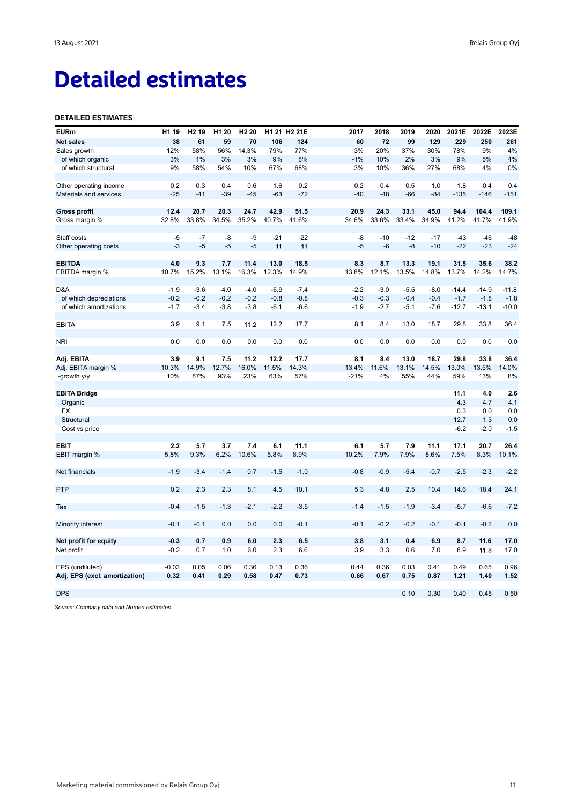# **Detailed estimates**

### **DETAILED ESTIMATES**

| <b>EURm</b>                   | H1 19   | H <sub>2</sub> 19 | H <sub>1</sub> 20 | H <sub>2</sub> 20 |        | H1 21 H2 21E | 2017   | 2018   | 2019   | 2020   | 2021E   | 2022E   | 2023E   |
|-------------------------------|---------|-------------------|-------------------|-------------------|--------|--------------|--------|--------|--------|--------|---------|---------|---------|
| <b>Net sales</b>              | 38      | 61                | 59                | 70                | 106    | 124          | 60     | 72     | 99     | 129    | 229     | 250     | 261     |
| Sales growth                  | 12%     | 58%               | 56%               | 14.3%             | 79%    | 77%          | 3%     | 20%    | 37%    | 30%    | 78%     | 9%      | 4%      |
| of which organic              | 3%      | 1%                | 3%                | 3%                | 9%     | 8%           | $-1%$  | 10%    | 2%     | 3%     | 9%      | 5%      | 4%      |
| of which structural           | 9%      | 58%               | 54%               | 10%               | 67%    | 68%          | 3%     | 10%    | 36%    | 27%    | 68%     | 4%      | 0%      |
| Other operating income        | 0.2     | 0.3               | 0.4               | 0.6               | 1.6    | 0.2          | 0.2    | 0.4    | 0.5    | 1.0    | 1.8     | 0.4     | 0.4     |
| Materials and services        | $-25$   | $-41$             | $-39$             | $-45$             | $-63$  | $-72$        | $-40$  | $-48$  | $-66$  | $-84$  | $-135$  | $-146$  | $-151$  |
| <b>Gross profit</b>           | 12.4    | 20.7              | 20.3              | 24.7              | 42.9   | 51.5         | 20.9   | 24.3   | 33.1   | 45.0   | 94.4    | 104.4   | 109.1   |
| Gross margin %                | 32.8%   | 33.8%             | 34.5%             | 35.2%             | 40.7%  | 41.6%        | 34.6%  | 33.6%  | 33.4%  | 34.9%  | 41.2%   | 41.7%   | 41.9%   |
| Staff costs                   | $-5$    | $-7$              | -8                | -9                | $-21$  | $-22$        | -8     | $-10$  | $-12$  | $-17$  | $-43$   | $-46$   | $-48$   |
| Other operating costs         | $-3$    | $-5$              | $-5$              | $-5$              | $-11$  | $-11$        | $-5$   | $-6$   | $-8$   | $-10$  | $-22$   | $-23$   | $-24$   |
| <b>EBITDA</b>                 | 4.0     | 9.3               | 7.7               | 11.4              | 13.0   | 18.5         | 8.3    | 8.7    | 13.3   | 19.1   | 31.5    | 35.6    | 38.2    |
| EBITDA margin %               | 10.7%   | 15.2%             | 13.1%             | 16.3%             | 12.3%  | 14.9%        | 13.8%  | 12.1%  | 13.5%  | 14.8%  | 13.7%   | 14.2%   | 14.7%   |
|                               |         |                   |                   |                   |        |              |        |        |        |        |         |         |         |
| D&A                           | $-1.9$  | $-3.6$            | $-4.0$            | $-4.0$            | $-6.9$ | $-7.4$       | $-2.2$ | $-3.0$ | $-5.5$ | $-8.0$ | $-14.4$ | $-14.9$ | $-11.8$ |
| of which depreciations        | $-0.2$  | $-0.2$            | $-0.2$            | $-0.2$            | $-0.8$ | $-0.8$       | $-0.3$ | $-0.3$ | $-0.4$ | $-0.4$ | $-1.7$  | $-1.8$  | $-1.8$  |
| of which amortizations        | $-1.7$  | $-3.4$            | $-3.8$            | $-3.8$            | $-6.1$ | $-6.6$       | $-1.9$ | $-2.7$ | $-5.1$ | $-7.6$ | $-12.7$ | $-13.1$ | $-10.0$ |
| <b>EBITA</b>                  | 3.9     | 9.1               | 7.5               | 11.2              | 12.2   | 17.7         | 8.1    | 8.4    | 13.0   | 18.7   | 29.8    | 33.8    | 36.4    |
| <b>NRI</b>                    | 0.0     | 0.0               | 0.0               | 0.0               | 0.0    | 0.0          | 0.0    | 0.0    | 0.0    | 0.0    | 0.0     | 0.0     | 0.0     |
|                               |         |                   |                   |                   |        |              |        |        |        |        |         |         |         |
| Adj. EBITA                    | 3.9     | 9.1               | 7.5               | 11.2              | 12.2   | 17.7         | 8.1    | 8.4    | 13.0   | 18.7   | 29.8    | 33.8    | 36.4    |
| Adj. EBITA margin %           | 10.3%   | 14.9%             | 12.7%             | 16.0%             | 11.5%  | 14.3%        | 13.4%  | 11.6%  | 13.1%  | 14.5%  | 13.0%   | 13.5%   | 14.0%   |
| -growth y/y                   | 10%     | 87%               | 93%               | 23%               | 63%    | 57%          | $-21%$ | 4%     | 55%    | 44%    | 59%     | 13%     | 8%      |
| <b>EBITA Bridge</b>           |         |                   |                   |                   |        |              |        |        |        |        | 11.1    | 4.0     | 2.6     |
| Organic                       |         |                   |                   |                   |        |              |        |        |        |        | 4.3     | 4.7     | 4.1     |
| FX                            |         |                   |                   |                   |        |              |        |        |        |        | 0.3     | 0.0     | 0.0     |
| Structural                    |         |                   |                   |                   |        |              |        |        |        |        | 12.7    | 1.3     | 0.0     |
| Cost vs price                 |         |                   |                   |                   |        |              |        |        |        |        | $-6.2$  | $-2.0$  | $-1.5$  |
| <b>EBIT</b>                   | 2.2     | 5.7               | 3.7               | 7.4               | 6.1    | 11.1         | 6.1    | 5.7    | 7.9    | 11.1   | 17.1    | 20.7    | 26.4    |
| EBIT margin %                 | 5.8%    | 9.3%              | 6.2%              | 10.6%             | 5.8%   | 8.9%         | 10.2%  | 7.9%   | 7.9%   | 8.6%   | 7.5%    | 8.3%    | 10.1%   |
| Net financials                | $-1.9$  | $-3.4$            | $-1.4$            | 0.7               | $-1.5$ | $-1.0$       | $-0.8$ | $-0.9$ | $-5.4$ | $-0.7$ | $-2.5$  | $-2.3$  | $-2.2$  |
|                               |         |                   |                   |                   |        |              |        |        |        |        |         |         |         |
| PTP                           | 0.2     | 2.3               | 2.3               | 8.1               | 4.5    | 10.1         | 5.3    | 4.8    | 2.5    | 10.4   | 14.6    | 18.4    | 24.1    |
| Tax                           | $-0.4$  | $-1.5$            | $-1.3$            | $-2.1$            | $-2.2$ | $-3.5$       | $-1.4$ | $-1.5$ | $-1.9$ | $-3.4$ | $-5.7$  | $-6.6$  | $-7.2$  |
| Minority interest             | $-0.1$  | $-0.1$            | 0.0               | 0.0               | 0.0    | $-0.1$       | $-0.1$ | $-0.2$ | $-0.2$ | $-0.1$ | $-0.1$  | $-0.2$  | 0.0     |
| Net profit for equity         | $-0.3$  | 0.7               | 0.9               | 6.0               | 2.3    | 6.5          | 3.8    | 3.1    | 0.4    | 6.9    | 8.7     | 11.6    | 17.0    |
| Net profit                    | $-0.2$  | 0.7               | 1.0               | 6.0               | 2.3    | 6.6          | 3.9    | 3.3    | 0.6    | 7.0    | 8.9     | 11.8    | 17.0    |
|                               |         |                   |                   |                   |        |              |        |        |        |        |         |         |         |
| EPS (undiluted)               | $-0.03$ | 0.05              | 0.06              | 0.36              | 0.13   | 0.36         | 0.44   | 0.36   | 0.03   | 0.41   | 0.49    | 0.65    | 0.96    |
| Adj. EPS (excl. amortization) | 0.32    | 0.41              | 0.29              | 0.58              | 0.47   | 0.73         | 0.66   | 0.67   | 0.75   | 0.87   | 1.21    | 1.40    | 1.52    |
| <b>DPS</b>                    |         |                   |                   |                   |        |              |        |        | 0.10   | 0.30   | 0.40    | 0.45    | 0.50    |
|                               |         |                   |                   |                   |        |              |        |        |        |        |         |         |         |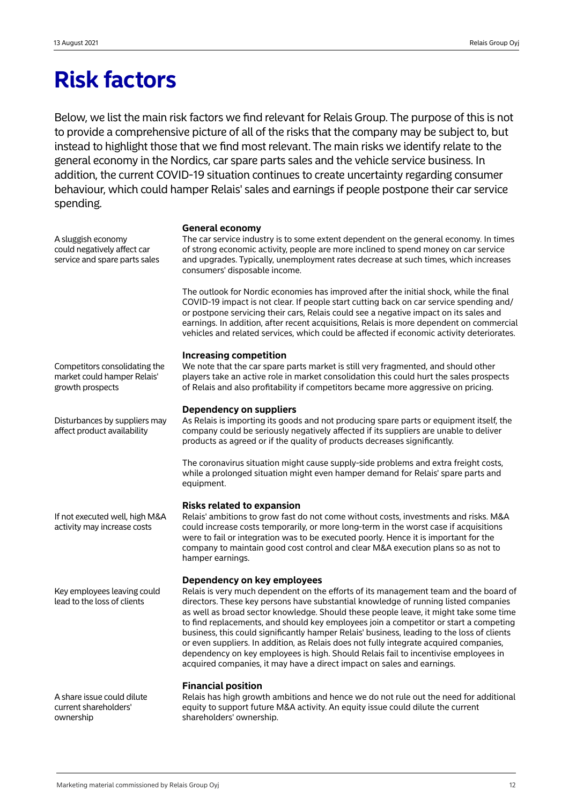## **Risk factors**

Below, we list the main risk factors we find relevant for Relais Group. The purpose of this is not to provide a comprehensive picture of all of the risks that the company may be subject to, but instead to highlight those that we find most relevant. The main risks we identify relate to the general economy in the Nordics, car spare parts sales and the vehicle service business. In addition, the current COVID-19 situation continues to create uncertainty regarding consumer behaviour, which could hamper Relais' sales and earnings if people postpone their car service spending.

## **General economy**

| A sluggish economy<br>could negatively affect car<br>service and spare parts sales | <b></b><br>The car service industry is to some extent dependent on the general economy. In times<br>of strong economic activity, people are more inclined to spend money on car service<br>and upgrades. Typically, unemployment rates decrease at such times, which increases<br>consumers' disposable income.                                                                                                                                                                                                                                                                                                                                                                                                                                       |  |  |  |  |  |  |  |
|------------------------------------------------------------------------------------|-------------------------------------------------------------------------------------------------------------------------------------------------------------------------------------------------------------------------------------------------------------------------------------------------------------------------------------------------------------------------------------------------------------------------------------------------------------------------------------------------------------------------------------------------------------------------------------------------------------------------------------------------------------------------------------------------------------------------------------------------------|--|--|--|--|--|--|--|
|                                                                                    | The outlook for Nordic economies has improved after the initial shock, while the final<br>COVID-19 impact is not clear. If people start cutting back on car service spending and/<br>or postpone servicing their cars, Relais could see a negative impact on its sales and<br>earnings. In addition, after recent acquisitions, Relais is more dependent on commercial<br>vehicles and related services, which could be affected if economic activity deteriorates.                                                                                                                                                                                                                                                                                   |  |  |  |  |  |  |  |
| Competitors consolidating the<br>market could hamper Relais'<br>growth prospects   | <b>Increasing competition</b><br>We note that the car spare parts market is still very fragmented, and should other<br>players take an active role in market consolidation this could hurt the sales prospects<br>of Relais and also profitability if competitors became more aggressive on pricing.                                                                                                                                                                                                                                                                                                                                                                                                                                                  |  |  |  |  |  |  |  |
| Disturbances by suppliers may<br>affect product availability                       | <b>Dependency on suppliers</b><br>As Relais is importing its goods and not producing spare parts or equipment itself, the<br>company could be seriously negatively affected if its suppliers are unable to deliver<br>products as agreed or if the quality of products decreases significantly.                                                                                                                                                                                                                                                                                                                                                                                                                                                       |  |  |  |  |  |  |  |
|                                                                                    | The coronavirus situation might cause supply-side problems and extra freight costs,<br>while a prolonged situation might even hamper demand for Relais' spare parts and<br>equipment.                                                                                                                                                                                                                                                                                                                                                                                                                                                                                                                                                                 |  |  |  |  |  |  |  |
| If not executed well, high M&A<br>activity may increase costs                      | <b>Risks related to expansion</b><br>Relais' ambitions to grow fast do not come without costs, investments and risks. M&A<br>could increase costs temporarily, or more long-term in the worst case if acquisitions<br>were to fail or integration was to be executed poorly. Hence it is important for the<br>company to maintain good cost control and clear M&A execution plans so as not to<br>hamper earnings.                                                                                                                                                                                                                                                                                                                                    |  |  |  |  |  |  |  |
| Key employees leaving could<br>lead to the loss of clients                         | Dependency on key employees<br>Relais is very much dependent on the efforts of its management team and the board of<br>directors. These key persons have substantial knowledge of running listed companies<br>as well as broad sector knowledge. Should these people leave, it might take some time<br>to find replacements, and should key employees join a competitor or start a competing<br>business, this could significantly hamper Relais' business, leading to the loss of clients<br>or even suppliers. In addition, as Relais does not fully integrate acquired companies,<br>dependency on key employees is high. Should Relais fail to incentivise employees in<br>acquired companies, it may have a direct impact on sales and earnings. |  |  |  |  |  |  |  |
| A share issue could dilute<br>current shareholders'<br>ownership                   | <b>Financial position</b><br>Relais has high growth ambitions and hence we do not rule out the need for additional<br>equity to support future M&A activity. An equity issue could dilute the current<br>shareholders' ownership.                                                                                                                                                                                                                                                                                                                                                                                                                                                                                                                     |  |  |  |  |  |  |  |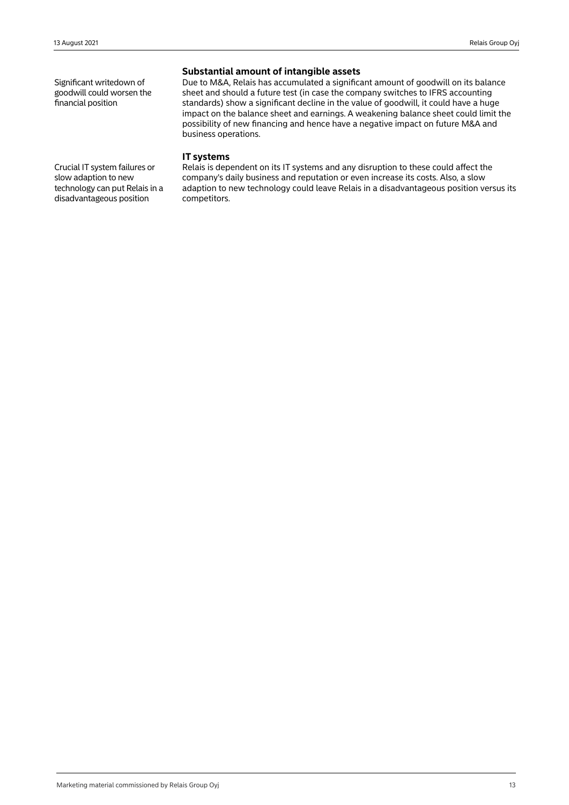Significant writedown of goodwill could worsen the financial position

## **Substantial amount of intangible assets**

Due to M&A, Relais has accumulated a significant amount of goodwill on its balance sheet and should a future test (in case the company switches to IFRS accounting standards) show a significant decline in the value of goodwill, it could have a huge impact on the balance sheet and earnings. A weakening balance sheet could limit the possibility of new financing and hence have a negative impact on future M&A and business operations.

## **IT systems**

Relais is dependent on its IT systems and any disruption to these could affect the company's daily business and reputation or even increase its costs. Also, a slow adaption to new technology could leave Relais in a disadvantageous position versus its competitors.

Crucial IT system failures or slow adaption to new technology can put Relais in a disadvantageous position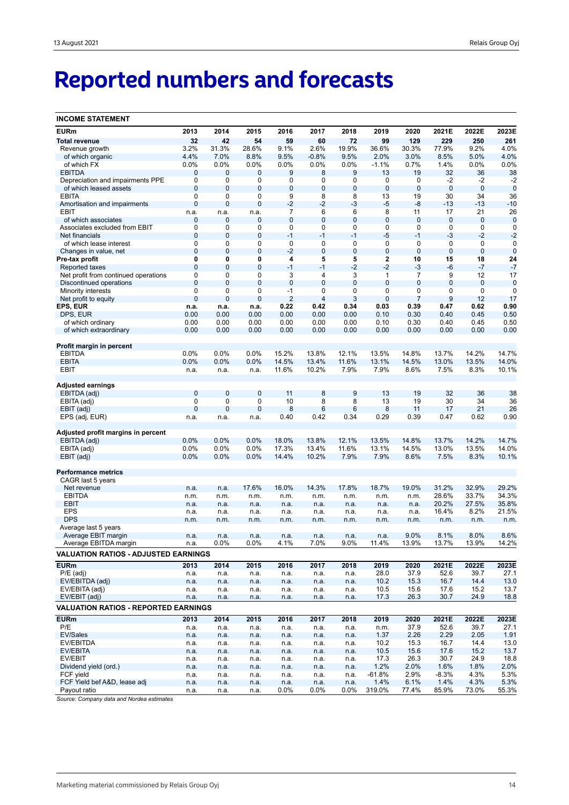# **Reported numbers and forecasts**

| <b>INCOME STATEMENT</b>                         |                  |                |                 |                |                     |                |                |                  |                |                            |                  |
|-------------------------------------------------|------------------|----------------|-----------------|----------------|---------------------|----------------|----------------|------------------|----------------|----------------------------|------------------|
| <b>EURm</b>                                     | 2013             | 2014           | 2015            | 2016           | 2017                | 2018           | 2019           | 2020             | 2021E          | 2022E                      | 2023E            |
| <b>Total revenue</b>                            | 32               | 42             | 54              | 59             | 60                  | 72             | 99             | 129              | 229            | 250                        | 261              |
| Revenue growth                                  | 3.2%             | 31.3%          | 28.6%           | 9.1%           | 2.6%                | 19.9%          | 36.6%          | 30.3%            | 77.9%          | 9.2%                       | 4.0%             |
| of which organic                                | 4.4%             | 7.0%           | 8.8%            | 9.5%           | $-0.8%$             | 9.5%           | 2.0%           | 3.0%             | 8.5%           | 5.0%                       | 4.0%             |
| of which FX                                     | 0.0%             | 0.0%           | 0.0%            | 0.0%           | 0.0%                | 0.0%           | $-1.1%$        | 0.7%             | 1.4%           | 0.0%                       | 0.0%             |
| <b>EBITDA</b>                                   | 0                | $\mathbf 0$    | 0               | 9              | 8                   | 9              | 13             | 19               | 32             | 36                         | 38               |
| Depreciation and impairments PPE                | 0                | 0              | 0               | 0              | 0                   | 0              | 0              | 0                | -2             | $-2$                       | $-2$             |
| of which leased assets                          | $\mathbf{0}$     | $\mathbf{0}$   | 0               | 0              | 0                   | $\bf 0$        | $\bf 0$        | $\mathbf 0$      | $\bf 0$        | $\mathbf 0$                | $\mathbf 0$      |
| <b>EBITA</b>                                    | $\mathbf 0$      | 0              | 0               | 9              | 8                   | 8              | 13             | 19               | 30             | 34                         | 36               |
| Amortisation and impairments                    | $\mathbf 0$      | $\mathbf 0$    | $\mathbf 0$     | $-2$           | $-2$                | $-3$           | $-5$           | -8               | $-13$          | $-13$                      | $-10$            |
| EBIT                                            | n.a.             | n.a.           | n.a.            | 7              | 6<br>$\overline{0}$ | 6              | 8<br>0         | 11               | 17             | 21                         | 26               |
| of which associates                             | 0<br>$\mathbf 0$ | 0<br>0         | 0<br>0          | 0<br>0         | 0                   | $\bf 0$<br>0   | 0              | $\mathbf 0$<br>0 | 0<br>0         | $\mathbf 0$<br>$\mathbf 0$ | $\mathbf 0$<br>0 |
| Associates excluded from EBIT<br>Net financials | $\mathbf 0$      | $\mathbf 0$    | $\mathbf 0$     | $-1$           | $-1$                | $-1$           | $-5$           | $-1$             | $-3$           | $-2$                       | $-2$             |
| of which lease interest                         | 0                | 0              | 0               | 0              | 0                   | 0              | 0              | $\mathbf 0$      | 0              | $\mathbf 0$                | $\mathbf 0$      |
| Changes in value, net                           | $\mathbf 0$      | $\mathbf 0$    | $\mathbf 0$     | $-2$           | $\mathbf 0$         | $\mathbf 0$    | $\mathbf 0$    | $\mathbf 0$      | $\mathbf 0$    | $\mathbf 0$                | $\mathbf 0$      |
| Pre-tax profit                                  | 0                | 0              | 0               | 4              | 5                   | 5              | 2              | 10               | 15             | 18                         | 24               |
| Reported taxes                                  | $\mathbf{0}$     | $\mathbf 0$    | $\mathbf 0$     | $-1$           | $-1$                | $-2$           | $-2$           | $-3$             | -6             | $-7$                       | $-7$             |
| Net profit from continued operations            | 0                | 0              | 0               | 3              | 4                   | 3              | 1              | 7                | 9              | 12                         | 17               |
| Discontinued operations                         | $\mathbf{0}$     | $\overline{0}$ | $\overline{0}$  | $\mathbf 0$    | $\overline{0}$      | $\overline{0}$ | $\overline{0}$ | $\mathbf{0}$     | $\overline{0}$ | $\mathbf 0$                | $\mathbf 0$      |
| Minority interests                              | $\mathbf 0$      | 0              | 0               | $-1$           | 0                   | 0              | 0              | 0                | 0              | $\mathbf 0$                | 0                |
| Net profit to equity                            | $\overline{0}$   | $\mathbf 0$    | $\mathbf 0$     | $\overline{2}$ | 4                   | 3              | $\overline{0}$ | $\overline{7}$   | 9              | 12                         | 17               |
| EPS, EUR                                        | n.a.             | n.a.           | n.a.            | 0.22           | 0.42                | 0.34           | 0.03           | 0.39             | 0.47           | 0.62                       | 0.90             |
| DPS, EUR                                        | 0.00             | 0.00           | 0.00            | 0.00           | 0.00                | 0.00           | 0.10           | 0.30             | 0.40           | 0.45                       | 0.50             |
| of which ordinary                               | 0.00             | 0.00           | 0.00            | 0.00           | 0.00                | 0.00           | 0.10           | 0.30             | 0.40           | 0.45                       | 0.50             |
| of which extraordinary                          | 0.00             | 0.00           | 0.00            | 0.00           | 0.00                | 0.00           | 0.00           | 0.00             | 0.00           | 0.00                       | 0.00             |
|                                                 |                  |                |                 |                |                     |                |                |                  |                |                            |                  |
| Profit margin in percent<br><b>EBITDA</b>       | 0.0%             | 0.0%           | 0.0%            | 15.2%          | 13.8%               | 12.1%          | 13.5%          | 14.8%            | 13.7%          | 14.2%                      | 14.7%            |
| <b>EBITA</b>                                    | 0.0%             | 0.0%           | 0.0%            | 14.5%          | 13.4%               | 11.6%          | 13.1%          | 14.5%            | 13.0%          | 13.5%                      | 14.0%            |
| EBIT                                            | n.a.             | n.a.           | n.a.            | 11.6%          | 10.2%               | 7.9%           | 7.9%           | 8.6%             | 7.5%           | 8.3%                       | 10.1%            |
|                                                 |                  |                |                 |                |                     |                |                |                  |                |                            |                  |
| Adjusted earnings                               |                  |                |                 |                |                     |                |                |                  |                |                            |                  |
| EBITDA (adj)                                    | $\mathbf{0}$     | $\mathbf 0$    | $\mathbf 0$     | 11             | 8                   | $9$            | 13             | 19               | 32             | 36                         | 38               |
| EBITA (adj)                                     | 0                | 0              | 0               | 10             | 8                   | 8              | 13             | 19               | 30             | 34                         | 36               |
| EBIT (adj)                                      | $\overline{0}$   | $\overline{0}$ | $\mathbf 0$     | 8              | 6                   | 6              | 8              | 11               | 17             | 21                         | 26               |
| EPS (adj, EUR)                                  | n.a.             | n.a.           | n.a.            | 0.40           | 0.42                | 0.34           | 0.29           | 0.39             | 0.47           | 0.62                       | 0.90             |
| Adjusted profit margins in percent              |                  |                |                 |                |                     |                |                |                  |                |                            |                  |
| EBITDA (adj)                                    | 0.0%             | 0.0%           | 0.0%            | 18.0%          | 13.8%               | 12.1%          | 13.5%          | 14.8%            | 13.7%          | 14.2%                      | 14.7%            |
| EBITA (adj)                                     | 0.0%             | 0.0%           | 0.0%            | 17.3%          | 13.4%               | 11.6%          | 13.1%          | 14.5%            | 13.0%          | 13.5%                      | 14.0%            |
| EBIT (adj)                                      | 0.0%             | 0.0%           | 0.0%            | 14.4%          | 10.2%               | 7.9%           | 7.9%           | 8.6%             | 7.5%           | 8.3%                       | 10.1%            |
|                                                 |                  |                |                 |                |                     |                |                |                  |                |                            |                  |
| <b>Performance metrics</b>                      |                  |                |                 |                |                     |                |                |                  |                |                            |                  |
| CAGR last 5 years                               |                  |                |                 |                |                     |                |                |                  |                |                            |                  |
| Net revenue                                     | n.a.             | n.a.           | 17.6%           | 16.0%          | 14.3%               | 17.8%          | 18.7%          | 19.0%            | 31.2%          | 32.9%                      | 29.2%            |
| <b>EBITDA</b>                                   | n.m.             | n.m.           | n.m.            | n.m.           | n.m.                | n.m.           | n.m.           | n.m.             | 28.6%          | 33.7%                      | 34.3%            |
| <b>EBIT</b>                                     | n.a.             | n.a.           | n.a.            | n.a.           | n.a.                | n.a.           | n.a.           | n.a.             | 20.2%          | 27.5%                      | 35.8%            |
| <b>EPS</b>                                      | n.a.             | n.a.           | n.a.            | n.a.           | n.a.                | n.a.           | n.a.           | n.a.             | 16.4%          | 8.2%                       | 21.5%            |
| <b>DPS</b>                                      | n.m.             | n.m.           | n.m.            | n.m.           | n.m.                | n.m.           | n.m.           | n.m.             | n.m.           | n.m.                       | n.m.             |
| Average last 5 years<br>Average EBIT margin     |                  |                |                 |                |                     |                |                | 9.0%             | 8.1%           | 8.0%                       | 8.6%             |
| Average EBITDA margin                           | n.a.<br>n.a.     | n.a.<br>0.0%   | n.a.<br>$0.0\%$ | n.a.<br>4.1%   | n.a.<br>7.0%        | n.a.<br>9.0%   | n.a.<br>11.4%  | 13.9%            | 13.7%          | 13.9%                      | 14.2%            |
| <b>VALUATION RATIOS - ADJUSTED EARNINGS</b>     |                  |                |                 |                |                     |                |                |                  |                |                            |                  |
| <b>EURm</b>                                     | 2013             | 2014           | 2015            | 2016           | 2017                | 2018           | 2019           | 2020             | 2021E          | 2022E                      | 2023E            |
| $P/E$ (adj)                                     | n.a.             | n.a.           | n.a.            | n.a.           | n.a.                | n.a.           | 28.0           | 37.9             | 52.6           | 39.7                       | 27.1             |
| EV/EBITDA (adj)                                 | n.a.             | n.a.           | n.a.            | n.a.           | n.a.                | n.a.           | 10.2           | 15.3             | 16.7           | 14.4                       | 13.0             |
| EV/EBITA (adj)                                  | n.a.             | n.a.           | n.a.            | n.a.           | n.a.                | n.a.           | 10.5           | 15.6             | 17.6           | 15.2                       | 13.7             |
| EV/EBIT (adj)                                   | n.a.             | n.a.           | n.a.            | n.a.           | n.a.                | n.a.           | 17.3           | 26.3             | 30.7           | 24.9                       | 18.8             |
| <b>VALUATION RATIOS - REPORTED EARNINGS</b>     |                  |                |                 |                |                     |                |                |                  |                |                            |                  |
|                                                 |                  |                |                 |                |                     |                |                |                  |                |                            |                  |
| <b>EURm</b><br>P/E                              | 2013             | 2014           | 2015            | 2016           | 2017                | 2018           | 2019           | 2020             | 2021E<br>52.6  | 2022E<br>39.7              | 2023E<br>27.1    |
| EV/Sales                                        | n.a.<br>n.a.     | n.a.<br>n.a.   | n.a.<br>n.a.    | n.a.<br>n.a.   | n.a.<br>n.a.        | n.a.<br>n.a.   | n.m.<br>1.37   | 37.9<br>2.26     | 2.29           | 2.05                       | 1.91             |
| EV/EBITDA                                       | n.a.             | n.a.           | n.a.            | n.a.           | n.a.                | n.a.           | 10.2           | 15.3             | 16.7           | 14.4                       | 13.0             |
| EV/EBITA                                        | n.a.             | n.a.           | n.a.            | n.a.           | n.a.                | n.a.           | 10.5           | 15.6             | 17.6           | 15.2                       | 13.7             |
| EV/EBIT                                         | n.a.             | n.a.           | n.a.            | n.a.           | n.a.                | n.a.           | 17.3           | 26.3             | 30.7           | 24.9                       | 18.8             |
| Dividend yield (ord.)                           | n.a.             | n.a.           | n.a.            | n.a.           | n.a.                | n.a.           | 1.2%           | 2.0%             | 1.6%           | 1.8%                       | 2.0%             |
| FCF yield                                       | n.a.             | n.a.           | n.a.            | n.a.           | n.a.                | n.a.           | $-61.8%$       | 2.9%             | $-8.3%$        | 4.3%                       | 5.3%             |
| FCF Yield bef A&D, lease adj                    | n.a.             | n.a.           | n.a.            | n.a.           | n.a.                | n.a.           | 1.4%           | 6.1%             | 1.4%           | 4.3%                       | 5.3%             |
| Payout ratio                                    | n.a.             | n.a.           | n.a.            | $0.0\%$        | $0.0\%$             | $0.0\%$        | 319.0%         | 77.4%            | 85.9%          | 73.0%                      | 55.3%            |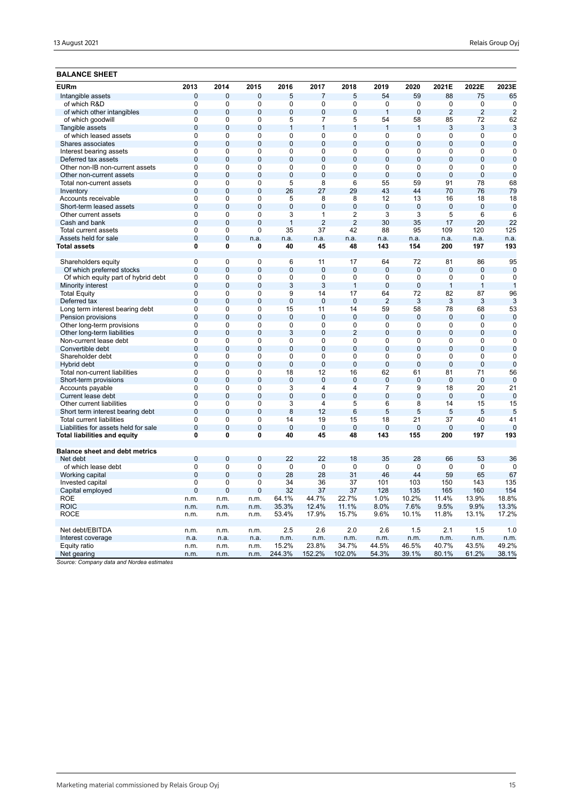## **BALANCE SHEET**

| <b>EURm</b>                           | 2013                           | 2014                | 2015                | 2016                 | 2017                 | 2018            | 2019           | 2020           | 2021E          | 2022E           | 2023E          |
|---------------------------------------|--------------------------------|---------------------|---------------------|----------------------|----------------------|-----------------|----------------|----------------|----------------|-----------------|----------------|
| Intangible assets                     | $\mathbf 0$                    | $\overline{0}$      | 0                   | 5                    | $\overline{7}$       | 5               | 54             | 59             | 88             | 75              | 65             |
| of which R&D                          | 0                              | $\Omega$            | 0                   | 0                    | 0                    | 0               | $\Omega$       | 0              | 0              | $\mathbf 0$     | $\mathbf 0$    |
| of which other intangibles            | $\overline{0}$                 | $\Omega$            | $\overline{0}$      | $\overline{0}$       | $\overline{0}$       | $\overline{0}$  | $\overline{1}$ | $\overline{0}$ | $\overline{2}$ | $\overline{2}$  | $\overline{2}$ |
| of which goodwill                     | $\Omega$                       | 0                   | $\Omega$            | 5                    | 7                    | 5               | 54             | 58             | 85             | 72              | 62             |
| Tangible assets                       | $\overline{0}$                 | $\overline{0}$      | $\overline{0}$      | $\mathbf{1}$         | $\mathbf{1}$         | $\mathbf{1}$    | $\overline{1}$ | $\overline{1}$ | 3              | 3               | 3              |
| of which leased assets                | $\overline{0}$                 | 0                   | $\mathbf 0$         | 0                    | $\Omega$             | 0               | 0              | $\mathbf 0$    | 0              | 0               | $\mathbf 0$    |
| Shares associates                     | $\overline{0}$                 | $\overline{0}$      | $\overline{0}$      | $\overline{0}$       | $\overline{0}$       | $\overline{0}$  | $\overline{0}$ | $\overline{0}$ | $\overline{0}$ | $\overline{0}$  | $\overline{0}$ |
| Interest bearing assets               | $\mathbf 0$                    | 0                   | $\mathbf 0$         | 0                    | 0                    | 0               | 0              | $\mathbf 0$    | 0              | 0               | $\mathbf 0$    |
| Deferred tax assets                   | $\overline{0}$                 | $\overline{0}$      | $\overline{0}$      | $\overline{0}$       | $\overline{0}$       | $\mathbf{0}$    | $\overline{0}$ | $\overline{0}$ | $\mathbf{0}$   | $\overline{0}$  | $\mathbf 0$    |
| Other non-IB non-current assets       | $\overline{0}$                 | 0                   | $\overline{0}$      | $\overline{0}$       | $\Omega$             | 0               | $\overline{0}$ | $\overline{0}$ | 0              | $\overline{0}$  | $\mathbf 0$    |
| Other non-current assets              | $\mathbf 0$                    | $\overline{0}$      | $\overline{0}$      | $\overline{0}$       | $\overline{0}$       | $\mathbf 0$     | $\overline{0}$ | $\overline{0}$ | $\mathbf 0$    | $\overline{0}$  | $\mathbf 0$    |
| Total non-current assets              | $\overline{0}$                 | 0                   | $\overline{0}$      | 5                    | 8                    | $6\overline{6}$ | 55             | 59             | 91             | 78              | 68             |
| Inventory                             | $\Omega$                       | $\Omega$            | $\Omega$            | 26                   | 27                   | 29              | 43             | 44             | 70             | 76              | 79             |
| Accounts receivable                   | $\overline{0}$                 | $\overline{0}$      | $\overline{0}$      | 5                    | 8                    | $\overline{8}$  | 12             | 13             | 16             | 18              | 18             |
| Short-term leased assets              | $\mathbf 0$                    | $\mathbf 0$         | $\mathbf 0$         | $\mathbf 0$          | $\mathbf 0$          | $\mathbf 0$     | $\mathbf 0$    | $\mathbf 0$    | $\mathbf 0$    | $\mathbf 0$     | $\mathbf 0$    |
| Other current assets                  | $\overline{0}$                 | $\overline{0}$      | $\overline{0}$      | $\overline{3}$       | $\mathbf{1}$         | $\overline{2}$  | $\overline{3}$ | $\overline{3}$ | $\overline{5}$ | $6\overline{6}$ | 6              |
| Cash and bank                         | $\overline{0}$                 | $\overline{0}$      | $\overline{0}$      | $\mathbf{1}$         | $\overline{2}$       | $\overline{2}$  | 30             | 35             | 17             | 20              | 22             |
| Total current assets                  | 0                              | 0                   | $\mathbf 0$         | 35                   | 37                   | 42              | 88             | 95             | 109            | 120             | 125            |
| Assets held for sale                  | $\overline{0}$                 | $\mathbf{0}$        | n.a.                | n.a.                 | n.a.                 | n.a.            | n.a.           | n.a.           | n.a.           | n.a.            | n.a.           |
| Total assets                          | 0                              | 0                   | $\mathbf 0$         | 40                   | 45                   | 48              | 143            | 154            | 200            | 197             | 193            |
|                                       |                                |                     |                     |                      |                      |                 |                |                |                |                 |                |
| Shareholders equity                   | $\overline{0}$                 | 0                   | $\mathbf 0$         | 6                    | 11                   | 17              | 64             | 72             | 81             | 86              | 95             |
| Of which preferred stocks             | $\overline{0}$                 | $\overline{0}$      | $\overline{0}$      | $\overline{0}$       | $\overline{0}$       | $\overline{0}$  | $\overline{0}$ | $\overline{0}$ | $\overline{0}$ | $\overline{0}$  | $\mathbf 0$    |
| Of which equity part of hybrid debt   | $\overline{0}$                 | $\overline{0}$      | $\overline{0}$      | $\overline{0}$       | $\overline{0}$       | $\overline{0}$  | 0              | $\overline{0}$ | $\overline{0}$ | 0               | $\mathbf 0$    |
| Minority interest                     | $\overline{0}$                 | $\overline{0}$      | $\overline{0}$      | 3                    | 3                    | $\mathbf{1}$    | $\overline{0}$ | $\overline{0}$ | $\overline{1}$ | $\mathbf{1}$    | $\overline{1}$ |
| <b>Total Equity</b>                   | 0                              | 0                   | 0                   | 9                    | 14                   | 17              | 64             | 72             | 82             | 87              | 96             |
| Deferred tax                          | $\overline{0}$                 | $\Omega$            | $\overline{0}$      | $\overline{0}$       | $\overline{0}$       | $\overline{0}$  | $\overline{2}$ | 3              | 3              | 3               | 3              |
| Long term interest bearing debt       | $\mathbf 0$                    | 0                   | $\mathbf 0$         | 15                   | 11                   | 14              | 59             | 58             | 78             | 68              | 53             |
| Pension provisions                    | $\overline{0}$                 | $\overline{0}$      | $\overline{0}$      | $\overline{0}$       | $\overline{0}$       | $\overline{0}$  | $\Omega$       | $\overline{0}$ | $\Omega$       | $\mathbf{0}$    | $\overline{0}$ |
| Other long-term provisions            | $\mathbf 0$                    | 0                   | $\mathbf 0$         | 0                    | $\Omega$             | $\mathbf 0$     | 0              | $\mathbf 0$    | 0              | 0               | $\Omega$       |
| Other long-term liabilities           | $\overline{0}$                 | $\overline{0}$      | $\overline{0}$      | 3                    | $\overline{0}$       | $\overline{2}$  | $\overline{0}$ | $\overline{0}$ | $\mathbf{0}$   | $\overline{0}$  | $\mathbf 0$    |
| Non-current lease debt                | $\overline{0}$                 | 0                   | $\overline{0}$      | 0                    | $\Omega$             | 0               | $\Omega$       | $\mathbf 0$    | 0              | 0               | $\mathbf 0$    |
| Convertible debt                      | $\mathbf 0$                    | $\overline{0}$      | $\overline{0}$      | $\mathbf 0$          | $\overline{0}$       | $\mathbf 0$     | $\overline{0}$ | $\overline{0}$ | $\overline{0}$ | $\overline{0}$  | $\mathbf 0$    |
| Shareholder debt                      | $\overline{0}$                 | $\overline{0}$      | $\overline{0}$      | $\overline{0}$       | $\overline{0}$       | $\overline{0}$  | $\overline{0}$ | $\overline{0}$ | $\overline{0}$ | $\overline{0}$  | $\overline{0}$ |
| Hybrid debt                           | $\overline{0}$                 | $\overline{0}$      | $\overline{0}$      | $\overline{0}$       | $\overline{0}$       | $\overline{0}$  | $\overline{0}$ | $\overline{0}$ | $\overline{0}$ | $\overline{0}$  | $\overline{0}$ |
| Total non-current liabilities         | $\mathbf 0$                    | 0                   | $\mathbf 0$         | 18                   | 12                   | 16              | 62             | 61             | 81             | 71              | 56             |
| Short-term provisions                 | $\mathbf 0$                    | $\mathbf 0$         | $\mathbf 0$         | $\mathbf 0$          | $\overline{0}$       | $\bf 0$         | $\mathbf 0$    | $\mathbf 0$    | $\bf 0$        | $\mathbf 0$     | $\mathbf 0$    |
| Accounts payable                      | $\mathbf 0$                    | $\Omega$            | $\mathbf 0$         | 3                    | 4                    | 4               | $\overline{7}$ | 9              | 18             | 20              | 21             |
| Current lease debt                    | $\mathbf 0$                    | $\mathbf 0$         | $\overline{0}$      | $\overline{0}$       | $\overline{0}$       | $\mathbf 0$     | $\overline{0}$ | $\mathbf{0}$   | $\mathbf{0}$   | $\mathbf 0$     | $\mathbf 0$    |
| Other current liabilities             | $\mathbf 0$                    | 0                   | $\mathbf 0$         | $\overline{3}$       | 4                    | 5               | 6              | 8              | 14             | 15              | 15             |
| Short term interest bearing debt      | $\overline{0}$                 | $\Omega$            | $\Omega$            | 8                    | 12                   | 6               | 5              | 5              | 5              | 5               | 5              |
| <b>Total current liabilities</b>      | $\overline{0}$                 | $\overline{0}$      | $\overline{0}$      | 14                   | 19                   | 15              | 18             | 21             | 37             | 40              | 41             |
| Liabilities for assets held for sale  | $\overline{0}$<br>$\mathbf{0}$ | $\overline{0}$<br>0 | $\overline{0}$<br>0 | $\overline{0}$<br>40 | $\overline{0}$<br>45 | $\overline{0}$  | $\overline{0}$ | $\Omega$       | $\Omega$       | 0               | $\Omega$       |
| Total liabilities and equity          |                                |                     |                     |                      |                      | 48              | 143            | 155            | 200            | 197             | 193            |
| <b>Balance sheet and debt metrics</b> |                                |                     |                     |                      |                      |                 |                |                |                |                 |                |
| Net debt                              | $\mathbf{0}$                   | $\Omega$            | $\mathbf{0}$        | 22                   | 22                   | 18              | 35             | 28             | 66             | 53              | 36             |
| of which lease debt                   | 0                              | $\mathbf 0$         | $\mathbf 0$         | $\mathbf 0$          | $\mathbf 0$          | $\mathbf 0$     | $\mathbf 0$    | 0              | $\mathbf 0$    | $\mathbf 0$     | $\mathbf 0$    |
| Working capital                       | $\overline{0}$                 | $\Omega$            | $\overline{0}$      | 28                   | 28                   | 31              | 46             | 44             | 59             | 65              | 67             |
| Invested capital                      | $\mathbf 0$                    | 0                   | $\mathbf 0$         | 34                   | 36                   | 37              | 101            | 103            | 150            | 143             | 135            |
| Capital employed                      | $\overline{0}$                 | $\overline{0}$      | $\overline{0}$      | 32                   | 37                   | 37              | 128            | 135            | 165            | 160             | 154            |
| <b>ROE</b>                            | n.m.                           | n.m.                | n.m.                | 64.1%                | 44.7%                | 22.7%           | 1.0%           | 10.2%          | 11.4%          | 13.9%           | 18.8%          |
| <b>ROIC</b>                           | n.m.                           | n.m.                | n.m.                | 35.3%                | 12.4%                | 11.1%           | 8.0%           | 7.6%           | 9.5%           | 9.9%            | 13.3%          |
| <b>ROCE</b>                           | n.m.                           | n.m.                | n.m.                | 53.4%                | 17.9%                | 15.7%           | 9.6%           | 10.1%          | 11.8%          | 13.1%           | 17.2%          |
|                                       |                                |                     |                     |                      |                      |                 |                |                |                |                 |                |
| Net debt/EBITDA                       | n.m.                           | n.m.                | n.m.                | 2.5                  | 2.6                  | 2.0             | 2.6            | 1.5            | 2.1            | 1.5             | 1.0            |
| Interest coverage                     | n.a.                           | n.a.                | n.a.                | n.m.                 | n.m.                 | n.m.            | n.m.           | n.m.           | n.m.           | n.m.            | n.m.           |
| Equity ratio                          | n.m.                           | n.m.                | n.m.                | 15.2%                | 23.8%                | 34.7%           | 44.5%          | 46.5%          | 40.7%          | 43.5%           | 49.2%          |
| Net gearing                           | n.m.                           | n.m.                | n.m.                | 244.3%               | 152.2%               | 102.0%          | 54.3%          | 39.1%          | 80.1%          | 61.2%           | 38.1%          |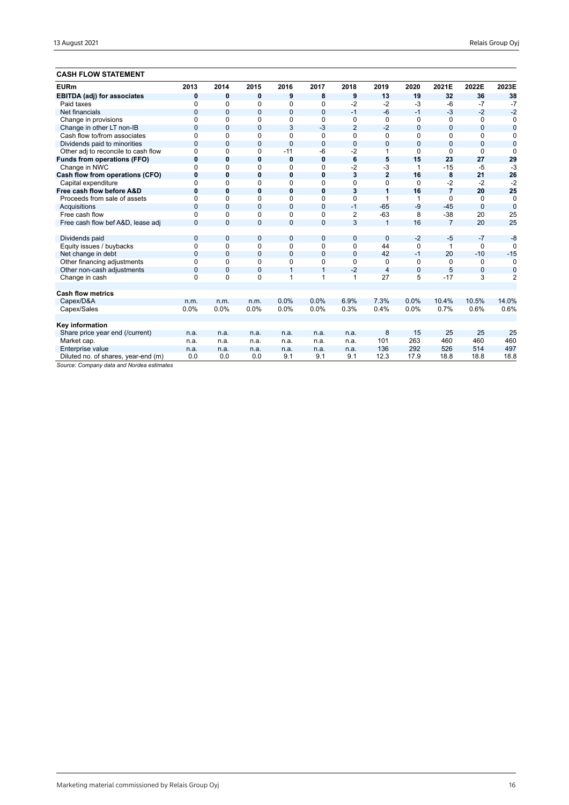## **CASH FLOW STATEMENT**

| <b>EURm</b>                         | 2013           | 2014           | 2015         | 2016           | 2017           | 2018            | 2019           | 2020           | 2021E          | 2022E        | 2023E          |
|-------------------------------------|----------------|----------------|--------------|----------------|----------------|-----------------|----------------|----------------|----------------|--------------|----------------|
| <b>EBITDA (adj) for associates</b>  | 0              | 0              | 0            | 9              | 8              | 9               | 13             | 19             | 32             | 36           | 38             |
| Paid taxes                          | $\Omega$       | 0              | $\Omega$     | 0              | $\Omega$       | $-2$            | $-2$           | $-3$           | $-6$           | $-7$         | $-7$           |
| Net financials                      | $\overline{0}$ | $\mathbf{0}$   | $\mathbf{0}$ | $\overline{0}$ | $\mathbf{0}$   | $-1$            | $-6$           | $-1$           | $-3$           | $-2$         | $-2$           |
| Change in provisions                | $\Omega$       | $\Omega$       | $\Omega$     | 0              | 0              | 0               | $\Omega$       | $\Omega$       | 0              | $\Omega$     | 0              |
| Change in other LT non-IB           | $\mathbf{0}$   | $\mathbf{0}$   | $\mathbf{0}$ | 3              | $-3$           | $\overline{2}$  | $-2$           | 0              | $\mathbf{0}$   | $\mathbf{0}$ | $\bf{0}$       |
| Cash flow to/from associates        | $\Omega$       | 0              | 0            | 0              | $\Omega$       | 0               | $\Omega$       | $\Omega$       | $\Omega$       | $\Omega$     | 0              |
| Dividends paid to minorities        | $\overline{0}$ | $\Omega$       | $\Omega$     | $\overline{0}$ | $\mathbf{0}$   | $\mathbf{0}$    | $\overline{0}$ | $\overline{0}$ | $\Omega$       | 0            | $\overline{0}$ |
| Other adj to reconcile to cash flow | $\Omega$       | $\Omega$       | 0            | $-11$          | -6             | $-2$            | 1              | $\Omega$       | $\Omega$       | $\Omega$     | $\Omega$       |
| <b>Funds from operations (FFO)</b>  | $\bf{0}$       | 0              | 0            | 0              | $\mathbf 0$    | $6\phantom{1}6$ | 5              | 15             | 23             | 27           | 29             |
| Change in NWC                       | $\Omega$       | 0              | 0            | 0              | $\mathbf 0$    | $-2$            | $-3$           | 1              | $-15$          | -5           | $-3$           |
| Cash flow from operations (CFO)     | $\bf{0}$       | $\bf{0}$       | 0            | 0              | $\mathbf 0$    | 3               | $\overline{2}$ | 16             | 8              | 21           | 26             |
| Capital expenditure                 | $\Omega$       | 0              | $\Omega$     | 0              | $\Omega$       | $\Omega$        | $\Omega$       | $\Omega$       | $-2$           | $-2$         | $-2$           |
| Free cash flow before A&D           | $\bf{0}$       | 0              | 0            | 0              | $\mathbf 0$    | 3               | 1              | 16             | $\overline{7}$ | 20           | 25             |
| Proceeds from sale of assets        | $\Omega$       | $\Omega$       | $\Omega$     | 0              | $\Omega$       | 0               | 1              | 1              | $\Omega$       | $\Omega$     | $\mathbf 0$    |
| Acquisitions                        | $\Omega$       | $\Omega$       | 0            | 0              | $\mathbf{0}$   | $-1$            | $-65$          | $-9$           | $-45$          | $\mathbf{0}$ | $\overline{0}$ |
| Free cash flow                      | $\Omega$       | 0              | $\Omega$     | 0              | $\Omega$       | 2               | $-63$          | 8              | $-38$          | 20           | 25             |
| Free cash flow bef A&D, lease adj   | $\Omega$       | $\Omega$       | $\mathbf{0}$ | 0              | $\overline{0}$ | 3               | $\overline{1}$ | 16             | $\overline{7}$ | 20           | 25             |
|                                     |                |                |              |                |                |                 |                |                |                |              |                |
| Dividends paid                      | $\mathbf{0}$   | $\mathbf{0}$   | 0            | 0              | $\overline{0}$ | $\overline{0}$  | $\overline{0}$ | $-2$           | $-5$           | $-7$         | $-8$           |
| Equity issues / buybacks            | $\mathbf 0$    | 0              | $\Omega$     | 0              | $\Omega$       | 0               | 44             | $\Omega$       | 1              | $\Omega$     | $\Omega$       |
| Net change in debt                  | $\overline{0}$ | $\Omega$       | $\Omega$     | 0              | $\mathbf{0}$   | $\overline{0}$  | 42             | $-1$           | 20             | $-10$        | $-15$          |
| Other financing adjustments         | $\Omega$       | 0              | $\Omega$     | 0              | $\Omega$       | 0               | $\Omega$       | 0              | $\Omega$       | $\Omega$     | $\Omega$       |
| Other non-cash adjustments          | $\overline{0}$ | $\overline{0}$ | $\mathbf{0}$ | $\mathbf{1}$   | $\overline{1}$ | $-2$            | $\overline{4}$ | $\overline{0}$ | 5              | 0            | $\mathbf 0$    |
| Change in cash                      | $\mathbf 0$    | $\Omega$       | 0            | 1              | 1              | 1               | 27             | 5              | $-17$          | 3            | $\overline{2}$ |
|                                     |                |                |              |                |                |                 |                |                |                |              |                |
| <b>Cash flow metrics</b>            |                |                |              |                |                |                 |                |                |                |              |                |
| Capex/D&A                           | n.m.           | n.m.           | n.m.         | 0.0%           | 0.0%           | 6.9%            | 7.3%           | 0.0%           | 10.4%          | 10.5%        | 14.0%          |
| Capex/Sales                         | 0.0%           | 0.0%           | 0.0%         | 0.0%           | 0.0%           | 0.3%            | 0.4%           | 0.0%           | 0.7%           | 0.6%         | 0.6%           |
|                                     |                |                |              |                |                |                 |                |                |                |              |                |
| Key information                     |                |                |              |                |                |                 |                |                |                |              |                |
| Share price year end (/current)     | n.a.           | n.a.           | n.a.         | n.a.           | n.a.           | n.a.            | 8              | 15             | 25             | 25           | 25             |
| Market cap.                         | n.a.           | n.a.           | n.a.         | n.a.           | n.a.           | n.a.            | 101            | 263            | 460            | 460          | 460            |
| Enterprise value                    | n.a.           | n.a.           | n.a.         | n.a.           | n.a.           | n.a.            | 136            | 292            | 526            | 514          | 497            |
| Diluted no. of shares, year-end (m) | 0.0            | 0.0            | 0.0          | 9.1            | 9.1            | 9.1             | 12.3           | 17.9           | 18.8           | 18.8         | 18.8           |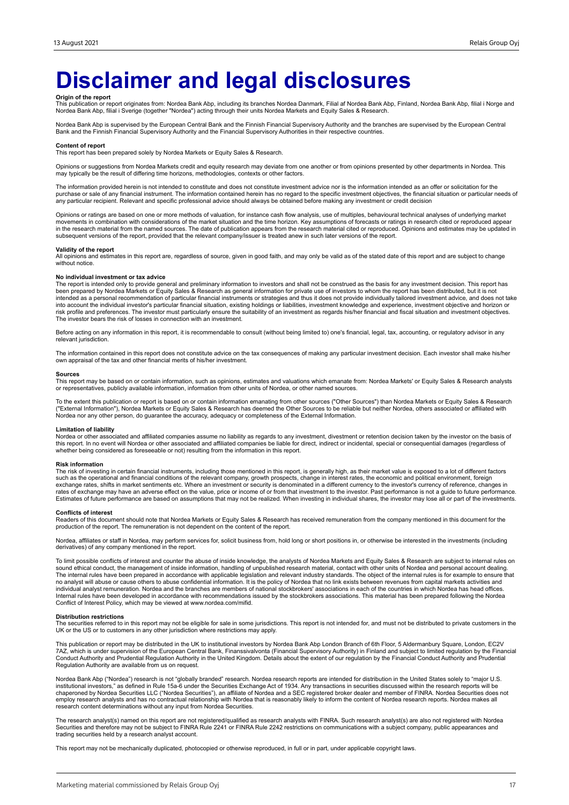## **Disclaimer and legal disclosures**

**Origin of the report**<br>This publication or report originates from: Nordea Bank Abp, including its branches Nordea Danmark, Filial af Nordea Bank Abp, Mordea Bank Abp, filial i Norge and<br>Nordea Bank Abp, filial i Sverige (t

Nordea Bank Abp is supervised by the European Central Bank and the Finnish Financial Supervisory Authority and the branches are supervised by the European Central<br>Bank and the Finnish Financial Supervisory Authority and th

#### **Content of report**

This report has been prepared solely by Nordea Markets or Equity Sales & Research.

Opinions or suggestions from Nordea Markets credit and equity research may deviate from one another or from opinions presented by other departments in Nordea. This may typically be the result of differing time horizons, methodologies, contexts or other factors.

The information provided herein is not intended to constitute and does not constitute investment advice nor is the information intended as an offer or solicitation for the purchase or sale of any financial instrument. The information contained herein has no regard to the specific investment objectives, the financial situation or particular needs of<br>any particular recipient. Relevant and spec

Opinions or ratings are based on one or more methods of valuation, for instance cash flow analysis, use of multiples, behavioural technical analyses of underlying market movements in combination with considerations of the market situation and the time horizon. Key assumptions of forecasts or ratings in research cited or reproduced appear<br>in the research material from the named sources. The subsequent versions of the report, provided that the relevant company/issuer is treated anew in such later versions of the report.

### **Validity of the report**

All opinions and estimates in this report are, regardless of source, given in good faith, and may only be valid as of the stated date of this report and are subject to change without notice.

#### **No individual investment or tax advice**

The report is intended only to provide general and preliminary information to investors and shall not be construed as the basis for any investment decision. This report has<br>been prepared by Nordea Markets or Equity Sales & into account the individual investor's particular financial situation, existing holdings or liabilities, investment knowledge and experience, investment objective and horizon or<br>risk profile and preferences. The investor m The investor bears the risk of losses in connection with an investment.

Before acting on any information in this report, it is recommendable to consult (without being limited to) one's financial, legal, tax, accounting, or regulatory advisor in any relevant jurisdiction.

The information contained in this report does not constitute advice on the tax consequences of making any particular investment decision. Each investor shall make his/her own appraisal of the tax and other financial merits of his/her investment.

#### **Sources**

This report may be based on or contain information, such as opinions, estimates and valuations which emanate from: Nordea Markets' or Equity Sales & Research analysts or representatives, publicly available information, information from other units of Nordea, or other named sources.

To the extent this publication or report is based on or contain information emanating from other sources ("Other Sources") than Nordea Markets or Equity Sales & Research<br>("External Information"), Nordea Markets or Equity S Nordea nor any other person, do guarantee the accuracy, adequacy or completeness of the External Information.

### **Limitation of liability**

Nordea or other associated and affiliated companies assume no liability as regards to any investment, divestment or retention decision taken by the investor on the basis of<br>this report. In no event will Nordea or other ass whether being considered as foreseeable or not) resulting from the information in this report.

#### **Risk information**

The risk of investing in certain financial instruments, including those mentioned in this report, is generally high, as their market value is exposed to a lot of different factors<br>such as the operational and financial cond exchange rates, shifts in market sentiments etc. Where an investment or security is denominated in a different currency to the investor's currency of reference, changes in<br>rates of exchange may have an adverse effect on th Estimates of future performance are based on assumptions that may not be realized. When investing in individual shares, the investor may lose all or part of the investments.

#### **Conflicts of interest**

Readers of this document should note that Nordea Markets or Equity Sales & Research has received remuneration from the company mentioned in this document for the<br>production of the report. The remuneration is not dependent

Nordea, affiliates or staff in Nordea, may perform services for, solicit business from, hold long or short positions in, or otherwise be interested in the investments (including derivatives) of any company mentioned in the report.

To limit possible conflicts of interest and counter the abuse of inside knowledge, the analysts of Nordea Markets and Equity Sales & Research are subject to internal rules on sound ethical conduct, the management of inside information, handling of unpublished research material, contact with other units of Nordea and personal account dealing.<br>The internal rules have been prepared in accordance w individual analyst remuneration. Nordea and the branches are members of national stockbrokers' associations in each of the countries in which Nordea has head offices.<br>Internal rules have been developed in accordance with r Conflict of Interest Policy, which may be viewed at www.nordea.com/mifid.

### **Distribution restrictions**

The securities referred to in this report may not be eligible for sale in some jurisdictions. This report is not intended for, and must not be distributed to private customers in the UK or the US or to customers in any other jurisdiction where restrictions may apply.

This publication or report may be distributed in the UK to institutional investors by Nordea Bank Abp London Branch of 6th Floor, 5 Aldermanbury Square, London, EC2V 7AZ, which is under supervision of the European Central Bank, Finanssivalvonta (Financial Supervisory Authority) in Finland and subject to limited regulation by the Financial<br>Conduct Authority and Prudential Regulation Aut Regulation Authority are available from us on request.

Nordea Bank Abp ("Nordea") research is not "globally branded" research. Nordea research reports are intended for distribution in the United States solely to "major U.S. institutional investors," as defined in Rule 15a-6 under the Securities Exchange Act of 1934. Any transactions in securities discussed within the research reports will be<br>chaperoned by Nordea Securities LLC ("Nordea Securi research content determinations without any input from Nordea Securities.

The research analyst(s) named on this report are not registered/qualified as research analysts with FINRA. Such research analyst(s) are also not registered with Nordea<br>Securities and therefore may not be subject to FINRA R trading securities held by a research analyst account.

This report may not be mechanically duplicated, photocopied or otherwise reproduced, in full or in part, under applicable copyright laws.